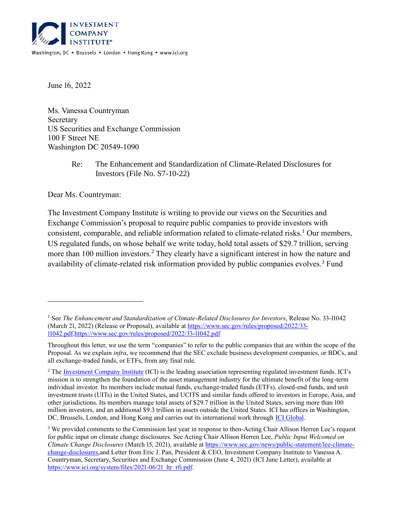

June 16, 2022

Ms. Vanessa Countryman Secretary US Securities and Exchange Commission 100 F Street NE Washington DC 20549-1090

> Re: The Enhancement and Standardization of Climate-Related Disclosures for Investors (File No. S7-10-22)

Dear Ms. Countryman:

The Investment Company Institute is writing to provide our views on the Securities and Exchange Commission's proposal to require public companies to provide investors with consistent, comparable, and reliable information related to climate-related risks.<sup>1</sup> Our members, US regulated funds, on whose behalf we write today, hold total assets of \$29.7 trillion, serving more than 100 million investors.<sup>2</sup> They clearly have a significant interest in how the nature and availability of climate-related risk information provided by public companies evolves.<sup>3</sup> Fund

<sup>1</sup> See *The Enhancement and Standardization of Climate-Related Disclosures for Investors*, Release No. 33-11042 (March 21, 2022) (Release or Proposal), available at [https://www.sec.gov/rules/proposed/2022/33-](https://www.sec.gov/rules/proposed/2022/33-11042.pdf) [11042.pdf.https://www.sec.gov/rules/proposed/2022/33-11042.pdf](https://www.sec.gov/rules/proposed/2022/33-11042.pdf)

Throughout this letter, we use the term "companies" to refer to the public companies that are within the scope of the Proposal. As we explain *infra*, we recommend that the SEC exclude business development companies, or BDCs, and all exchange-traded funds, or ETFs, from any final rule.

<sup>&</sup>lt;sup>2</sup> Th[e Investment Company Institute](https://www.ici.org/) (ICI) is the leading association representing regulated investment funds. ICI's mission is to strengthen the foundation of the asset management industry for the ultimate benefit of the long-term individual investor. Its members include mutual funds, exchange-traded funds (ETFs), closed-end funds, and unit investment trusts (UITs) in the United States, and UCITS and similar funds offered to investors in Europe, Asia, and other jurisdictions. Its members manage total assets of \$29.7 trillion in the United States, serving more than 100 million investors, and an additional \$9.3 trillion in assets outside the United States. ICI has offices in Washington, DC, Brussels, London, and Hong Kong and carries out its international work through [ICI Global.](https://www.ici.org/iciglobal)

<sup>&</sup>lt;sup>3</sup> We provided comments to the Commission last year in response to then-Acting Chair Allison Herren Lee's request for public input on climate change disclosures. See Acting Chair Allison Herren Lee, *Public Input Welcomed on Climate Change Disclosures* (March 15, 2021), available at [https://www.sec.gov/news/public-statement/lee-climate](https://www.sec.gov/news/public-statement/lee-climate-change-disclosures)[change-disclosures,](https://www.sec.gov/news/public-statement/lee-climate-change-disclosures)and Letter from Eric J. Pan, President & CEO, Investment Company Institute to Vanessa A. Countryman, Secretary, Securities and Exchange Commission (June 4, 2021) (ICI June Letter), available at https://www.ici.org/system/files/2021-06/21 ltr\_rfi.pdf.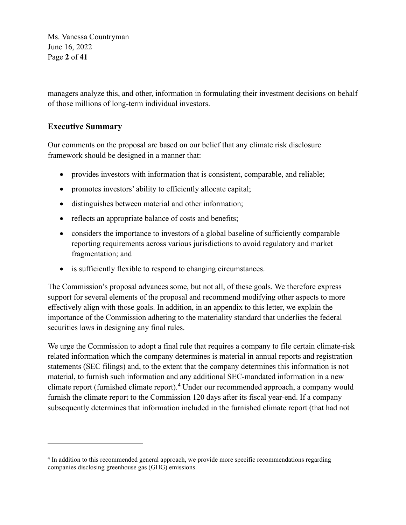Ms. Vanessa Countryman June 16, 2022 Page **2** of **41**

managers analyze this, and other, information in formulating their investment decisions on behalf of those millions of long-term individual investors.

# **Executive Summary**

Our comments on the proposal are based on our belief that any climate risk disclosure framework should be designed in a manner that:

- provides investors with information that is consistent, comparable, and reliable;
- promotes investors' ability to efficiently allocate capital;
- distinguishes between material and other information;
- reflects an appropriate balance of costs and benefits;
- considers the importance to investors of a global baseline of sufficiently comparable reporting requirements across various jurisdictions to avoid regulatory and market fragmentation; and
- is sufficiently flexible to respond to changing circumstances.

The Commission's proposal advances some, but not all, of these goals. We therefore express support for several elements of the proposal and recommend modifying other aspects to more effectively align with those goals. In addition, in an appendix to this letter, we explain the importance of the Commission adhering to the materiality standard that underlies the federal securities laws in designing any final rules.

We urge the Commission to adopt a final rule that requires a company to file certain climate-risk related information which the company determines is material in annual reports and registration statements (SEC filings) and, to the extent that the company determines this information is not material, to furnish such information and any additional SEC-mandated information in a new climate report (furnished climate report). <sup>4</sup> Under our recommended approach, a company would furnish the climate report to the Commission 120 days after its fiscal year-end. If a company subsequently determines that information included in the furnished climate report (that had not

<sup>&</sup>lt;sup>4</sup> In addition to this recommended general approach, we provide more specific recommendations regarding companies disclosing greenhouse gas (GHG) emissions.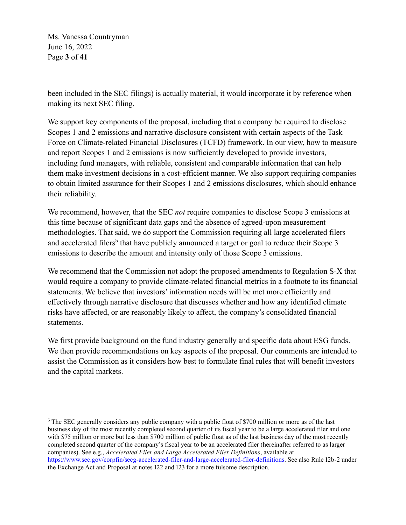Ms. Vanessa Countryman June 16, 2022 Page **3** of **41**

been included in the SEC filings) is actually material, it would incorporate it by reference when making its next SEC filing.

We support key components of the proposal, including that a company be required to disclose Scopes 1 and 2 emissions and narrative disclosure consistent with certain aspects of the Task Force on Climate-related Financial Disclosures (TCFD) framework. In our view, how to measure and report Scopes 1 and 2 emissions is now sufficiently developed to provide investors, including fund managers, with reliable, consistent and comparable information that can help them make investment decisions in a cost-efficient manner. We also support requiring companies to obtain limited assurance for their Scopes 1 and 2 emissions disclosures, which should enhance their reliability.

We recommend, however, that the SEC *not* require companies to disclose Scope 3 emissions at this time because of significant data gaps and the absence of agreed-upon measurement methodologies. That said, we do support the Commission requiring all large accelerated filers and accelerated filers<sup>5</sup> that have publicly announced a target or goal to reduce their Scope 3 emissions to describe the amount and intensity only of those Scope 3 emissions.

We recommend that the Commission not adopt the proposed amendments to Regulation S-X that would require a company to provide climate-related financial metrics in a footnote to its financial statements. We believe that investors' information needs will be met more efficiently and effectively through narrative disclosure that discusses whether and how any identified climate risks have affected, or are reasonably likely to affect, the company's consolidated financial statements.

We first provide background on the fund industry generally and specific data about ESG funds. We then provide recommendations on key aspects of the proposal. Our comments are intended to assist the Commission as it considers how best to formulate final rules that will benefit investors and the capital markets.

<sup>5</sup> The SEC generally considers any public company with a public float of \$700 million or more as of the last business day of the most recently completed second quarter of its fiscal year to be a large accelerated filer and one with \$75 million or more but less than \$700 million of public float as of the last business day of the most recently completed second quarter of the company's fiscal year to be an accelerated filer (hereinafter referred to as larger companies). See e.g., *Accelerated Filer and Large Accelerated Filer Definitions*, available at [https://www.sec.gov/corpfin/secg-accelerated-filer-and-large-accelerated-filer-definitions.](https://www.sec.gov/corpfin/secg-accelerated-filer-and-large-accelerated-filer-definitions) See also Rule 12b-2 under the Exchange Act and Proposal at notes 122 and 123 for a more fulsome description.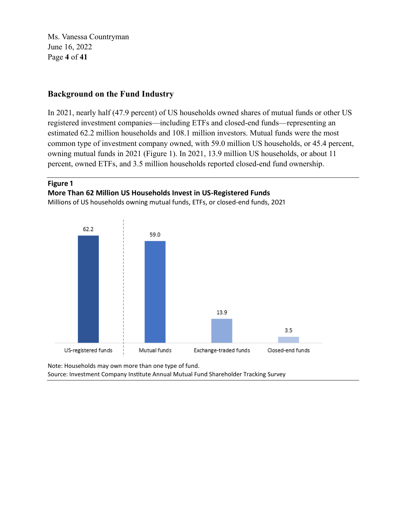Ms. Vanessa Countryman June 16, 2022 Page **4** of **41**

# **Background on the Fund Industry**

In 2021, nearly half (47.9 percent) of US households owned shares of mutual funds or other US registered investment companies—including ETFs and closed-end funds—representing an estimated 62.2 million households and 108.1 million investors. Mutual funds were the most common type of investment company owned, with 59.0 million US households, or 45.4 percent, owning mutual funds in 2021 (Figure 1). In 2021, 13.9 million US households, or about 11 percent, owned ETFs, and 3.5 million households reported closed-end fund ownership.

#### **Figure 1**

#### **More Than 62 Million US Households Invest in US-Registered Funds**

Millions of US households owning mutual funds, ETFs, or closed-end funds, 2021



Note: Households may own more than one type of fund. Source: Investment Company Institute Annual Mutual Fund Shareholder Tracking Survey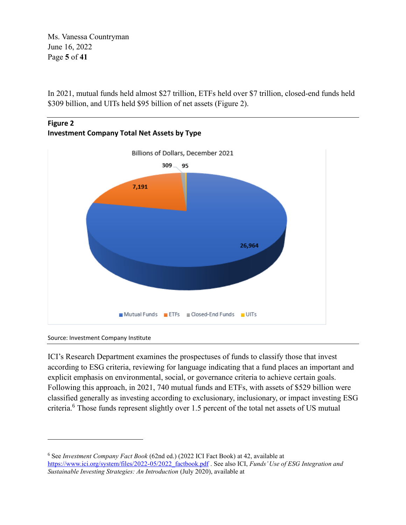Ms. Vanessa Countryman June 16, 2022 Page **5** of **41**

In 2021, mutual funds held almost \$27 trillion, ETFs held over \$7 trillion, closed-end funds held \$309 billion, and UITs held \$95 billion of net assets (Figure 2).





Source: Investment Company Institute

ICI's Research Department examines the prospectuses of funds to classify those that invest according to ESG criteria, reviewing for language indicating that a fund places an important and explicit emphasis on environmental, social, or governance criteria to achieve certain goals. Following this approach, in 2021, 740 mutual funds and ETFs, with assets of \$529 billion were classified generally as investing according to exclusionary, inclusionary, or impact investing ESG criteria.<sup>6</sup> Those funds represent slightly over 1.5 percent of the total net assets of US mutual

<sup>6</sup> See *Investment Company Fact Book* (62nd ed.) (2022 ICI Fact Book) at 42, available at [https://www.ici.org/system/files/2022-05/2022\\_factbook.pdf](https://www.ici.org/system/files/2022-05/2022_factbook.pdf) . See also ICI, *Funds' Use of ESG Integration and Sustainable Investing Strategies: An Introduction* (July 2020), available at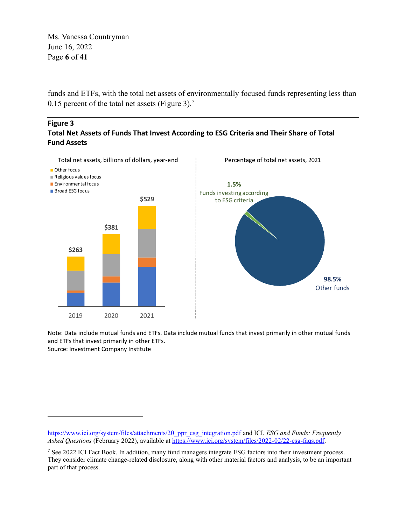Ms. Vanessa Countryman June 16, 2022 Page **6** of **41**

funds and ETFs, with the total net assets of environmentally focused funds representing less than 0.15 percent of the total net assets (Figure 3).<sup>7</sup>

#### **Figure 3 Total Net Assets of Funds That Invest According to ESG Criteria and Their Share of Total Fund Assets**



Note: Data include mutual funds and ETFs. Data include mutual funds that invest primarily in other mutual funds and ETFs that invest primarily in other ETFs. Source: Investment Company Institute

[https://www.ici.org/system/files/attachments/20\\_ppr\\_esg\\_integration.pdf](https://www.ici.org/system/files/attachments/20_ppr_esg_integration.pdf) and ICI, *ESG and Funds: Frequently Asked Questions* (February 2022), available a[t https://www.ici.org/system/files/2022-02/22-esg-faqs.pdf.](https://www.ici.org/system/files/2022-02/22-esg-faqs.pdf)

<sup>7</sup> See 2022 ICI Fact Book. In addition, many fund managers integrate ESG factors into their investment process. They consider climate change-related disclosure, along with other material factors and analysis, to be an important part of that process.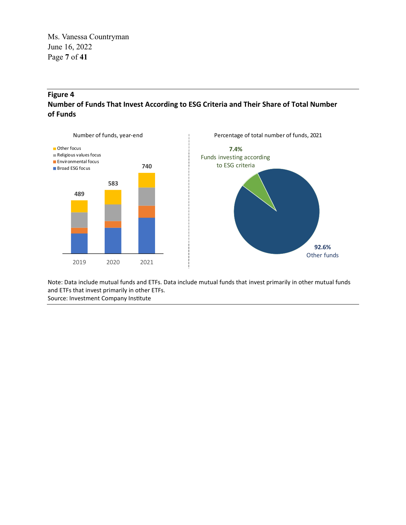Ms. Vanessa Countryman June 16, 2022 Page **7** of **41**

# **Figure 4 Number of Funds That Invest According to ESG Criteria and Their Share of Total Number of Funds**



Note: Data include mutual funds and ETFs. Data include mutual funds that invest primarily in other mutual funds and ETFs that invest primarily in other ETFs. Source: Investment Company Institute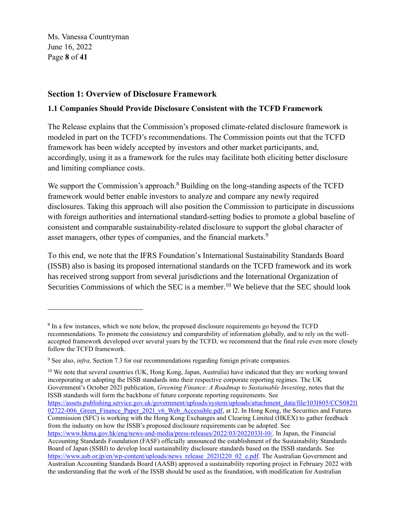Ms. Vanessa Countryman June 16, 2022 Page **8** of **41**

# **Section 1: Overview of Disclosure Framework**

#### **1.1 Companies Should Provide Disclosure Consistent with the TCFD Framework**

The Release explains that the Commission's proposed climate-related disclosure framework is modeled in part on the TCFD's recommendations. The Commission points out that the TCFD framework has been widely accepted by investors and other market participants, and, accordingly, using it as a framework for the rules may facilitate both eliciting better disclosure and limiting compliance costs.

We support the Commission's approach.<sup>8</sup> Building on the long-standing aspects of the TCFD framework would better enable investors to analyze and compare any newly required disclosures. Taking this approach will also position the Commission to participate in discussions with foreign authorities and international standard-setting bodies to promote a global baseline of consistent and comparable sustainability-related disclosure to support the global character of asset managers, other types of companies, and the financial markets.<sup>9</sup>

To this end, we note that the IFRS Foundation's International Sustainability Standards Board (ISSB) also is basing its proposed international standards on the TCFD framework and its work has received strong support from several jurisdictions and the International Organization of Securities Commissions of which the SEC is a member.<sup>10</sup> We believe that the SEC should look

<sup>10</sup> We note that several countries (UK, Hong Kong, Japan, Australia) have indicated that they are working toward incorporating or adopting the ISSB standards into their respective corporate reporting regimes. The UK Government's October 2021 publication, *Greening Finance: A Roadmap to Sustainable Investing*, notes that the ISSB standards will form the backbone of future corporate reporting requirements. See [https://assets.publishing.service.gov.uk/government/uploads/system/uploads/attachment\\_data/file/1031805/CCS08211](https://assets.publishing.service.gov.uk/government/uploads/system/uploads/attachment_data/file/1031805/CCS0821102722-006_Green_Finance_Paper_2021_v6_Web_Accessible.pdf) 02722-006 Green Finance Paper 2021 v6 Web Accessible.pdf, at 12. In Hong Kong, the Securities and Futures Commission (SFC) is working with the Hong Kong Exchanges and Clearing Limited (HKEX) to gather feedback from the industry on how the ISSB's proposed disclosure requirements can be adopted. See [https://www.hkma.gov.hk/eng/news-and-media/press-releases/2022/03/20220331-10/.](https://www.hkma.gov.hk/eng/news-and-media/press-releases/2022/03/20220331-10/) In Japan, the Financial Accounting Standards Foundation (FASF) officially announced the establishment of the Sustainability Standards Board of Japan (SSBJ) to develop local sustainability disclosure standards based on the ISSB standards. See [https://www.asb.or.jp/en/wp-content/uploads/news\\_release\\_20211220\\_02\\_e.pdf.](https://www.asb.or.jp/en/wp-content/uploads/news_release_20211220_02_e.pdf) The Australian Government and Australian Accounting Standards Board (AASB) approved a sustainability reporting project in February 2022 with the understanding that the work of the ISSB should be used as the foundation, with modification for Australian

<sup>&</sup>lt;sup>8</sup> In a few instances, which we note below, the proposed disclosure requirements go beyond the TCFD recommendations. To promote the consistency and comparability of information globally, and to rely on the wellaccepted framework developed over several years by the TCFD, we recommend that the final rule even more closely follow the TCFD framework.

<sup>&</sup>lt;sup>9</sup> See also, *infra*, Section 7.3 for our recommendations regarding foreign private companies.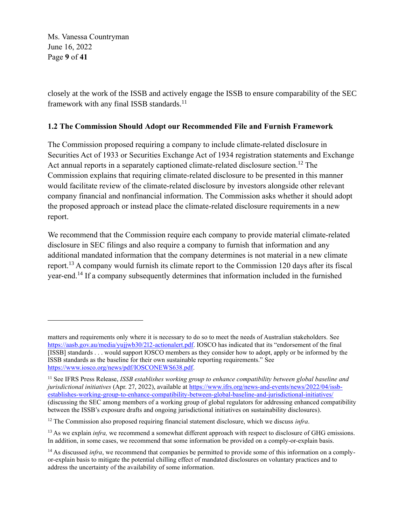Ms. Vanessa Countryman June 16, 2022 Page **9** of **41**

closely at the work of the ISSB and actively engage the ISSB to ensure comparability of the SEC framework with any final ISSB standards.<sup>11</sup>

#### **1.2 The Commission Should Adopt our Recommended File and Furnish Framework**

The Commission proposed requiring a company to include climate-related disclosure in Securities Act of 1933 or Securities Exchange Act of 1934 registration statements and Exchange Act annual reports in a separately captioned climate-related disclosure section.<sup>12</sup> The Commission explains that requiring climate-related disclosure to be presented in this manner would facilitate review of the climate-related disclosure by investors alongside other relevant company financial and nonfinancial information. The Commission asks whether it should adopt the proposed approach or instead place the climate-related disclosure requirements in a new report.

We recommend that the Commission require each company to provide material climate-related disclosure in SEC filings and also require a company to furnish that information and any additional mandated information that the company determines is not material in a new climate report.<sup>13</sup> A company would furnish its climate report to the Commission 120 days after its fiscal year-end.<sup>14</sup> If a company subsequently determines that information included in the furnished

matters and requirements only where it is necessary to do so to meet the needs of Australian stakeholders. See [https://aasb.gov.au/media/yujjwb30/212-actionalert.pdf.](https://aasb.gov.au/media/yujjwb30/212-actionalert.pdf) IOSCO has indicated that its "endorsement of the final [ISSB] standards . . . would support IOSCO members as they consider how to adopt, apply or be informed by the ISSB standards as the baseline for their own sustainable reporting requirements." See [https://www.iosco.org/news/pdf/IOSCONEWS638.pdf.](https://www.iosco.org/news/pdf/IOSCONEWS638.pdf)

<sup>11</sup> See IFRS Press Release, *ISSB establishes working group to enhance compatibility between global baseline and jurisdictional initiatives* (Apr. 27, 2022), available at [https://www.ifrs.org/news-and-events/news/2022/04/issb](https://www.ifrs.org/news-and-events/news/2022/04/issb-establishes-working-group-to-enhance-compatibility-between-global-baseline-and-jurisdictional-initiatives/)[establishes-working-group-to-enhance-compatibility-between-global-baseline-and-jurisdictional-initiatives/](https://www.ifrs.org/news-and-events/news/2022/04/issb-establishes-working-group-to-enhance-compatibility-between-global-baseline-and-jurisdictional-initiatives/)  (discussing the SEC among members of a working group of global regulators for addressing enhanced compatibility between the ISSB's exposure drafts and ongoing jurisdictional initiatives on sustainability disclosures).

<sup>12</sup> The Commission also proposed requiring financial statement disclosure, which we discuss *infra*.

<sup>&</sup>lt;sup>13</sup> As we explain *infra*, we recommend a somewhat different approach with respect to disclosure of GHG emissions. In addition, in some cases, we recommend that some information be provided on a comply-or-explain basis.

<sup>&</sup>lt;sup>14</sup> As discussed *infra*, we recommend that companies be permitted to provide some of this information on a complyor-explain basis to mitigate the potential chilling effect of mandated disclosures on voluntary practices and to address the uncertainty of the availability of some information.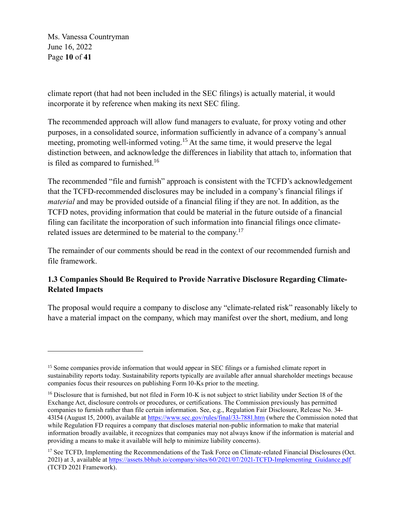Ms. Vanessa Countryman June 16, 2022 Page **10** of **41**

climate report (that had not been included in the SEC filings) is actually material, it would incorporate it by reference when making its next SEC filing.

The recommended approach will allow fund managers to evaluate, for proxy voting and other purposes, in a consolidated source, information sufficiently in advance of a company's annual meeting, promoting well-informed voting.<sup>15</sup> At the same time, it would preserve the legal distinction between, and acknowledge the differences in liability that attach to, information that is filed as compared to furnished.<sup>16</sup>

The recommended "file and furnish" approach is consistent with the TCFD's acknowledgement that the TCFD-recommended disclosures may be included in a company's financial filings if *material* and may be provided outside of a financial filing if they are not. In addition, as the TCFD notes, providing information that could be material in the future outside of a financial filing can facilitate the incorporation of such information into financial filings once climaterelated issues are determined to be material to the company.<sup>17</sup>

The remainder of our comments should be read in the context of our recommended furnish and file framework.

# **1.3 Companies Should Be Required to Provide Narrative Disclosure Regarding Climate-Related Impacts**

The proposal would require a company to disclose any "climate-related risk" reasonably likely to have a material impact on the company, which may manifest over the short, medium, and long

<sup>&</sup>lt;sup>15</sup> Some companies provide information that would appear in SEC filings or a furnished climate report in sustainability reports today. Sustainability reports typically are available after annual shareholder meetings because companies focus their resources on publishing Form 10-Ks prior to the meeting.

<sup>&</sup>lt;sup>16</sup> Disclosure that is furnished, but not filed in Form 10-K is not subject to strict liability under Section 18 of the Exchange Act, disclosure controls or procedures, or certifications. The Commission previously has permitted companies to furnish rather than file certain information. See, e.g., Regulation Fair Disclosure, Release No. 34- 43154 (August 15, 2000), available at<https://www.sec.gov/rules/final/33-7881.htm> (where the Commission noted that while Regulation FD requires a company that discloses material non-public information to make that material information broadly available, it recognizes that companies may not always know if the information is material and providing a means to make it available will help to minimize liability concerns).

<sup>&</sup>lt;sup>17</sup> See TCFD, Implementing the Recommendations of the Task Force on Climate-related Financial Disclosures (Oct. 2021) at 3, available at [https://assets.bbhub.io/company/sites/60/2021/07/2021-TCFD-Implementing\\_Guidance.pdf](https://assets.bbhub.io/company/sites/60/2021/07/2021-TCFD-Implementing_Guidance.pdf) (TCFD 2021 Framework).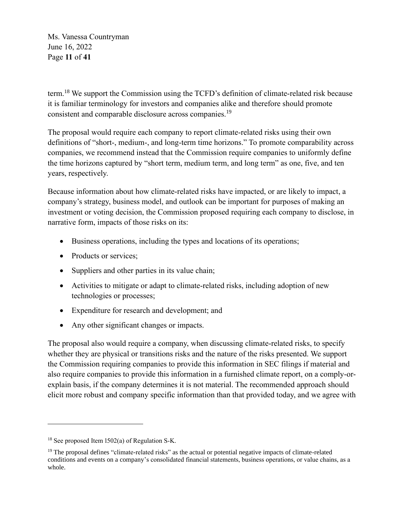Ms. Vanessa Countryman June 16, 2022 Page **11** of **41**

term.<sup>18</sup> We support the Commission using the TCFD's definition of climate-related risk because it is familiar terminology for investors and companies alike and therefore should promote consistent and comparable disclosure across companies.<sup>19</sup>

The proposal would require each company to report climate-related risks using their own definitions of "short-, medium-, and long-term time horizons." To promote comparability across companies, we recommend instead that the Commission require companies to uniformly define the time horizons captured by "short term, medium term, and long term" as one, five, and ten years, respectively.

Because information about how climate-related risks have impacted, or are likely to impact, a company's strategy, business model, and outlook can be important for purposes of making an investment or voting decision, the Commission proposed requiring each company to disclose, in narrative form, impacts of those risks on its:

- Business operations, including the types and locations of its operations;
- Products or services:
- Suppliers and other parties in its value chain;
- Activities to mitigate or adapt to climate-related risks, including adoption of new technologies or processes;
- Expenditure for research and development; and
- Any other significant changes or impacts.

The proposal also would require a company, when discussing climate-related risks, to specify whether they are physical or transitions risks and the nature of the risks presented. We support the Commission requiring companies to provide this information in SEC filings if material and also require companies to provide this information in a furnished climate report, on a comply-orexplain basis, if the company determines it is not material. The recommended approach should elicit more robust and company specific information than that provided today, and we agree with

<sup>18</sup> See proposed Item 1502(a) of Regulation S-K.

<sup>&</sup>lt;sup>19</sup> The proposal defines "climate-related risks" as the actual or potential negative impacts of climate-related conditions and events on a company's consolidated financial statements, business operations, or value chains, as a whole.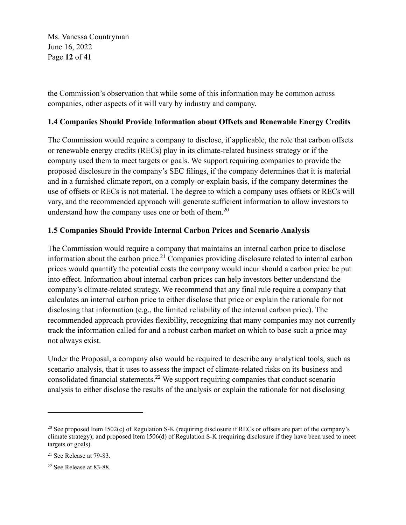Ms. Vanessa Countryman June 16, 2022 Page **12** of **41**

the Commission's observation that while some of this information may be common across companies, other aspects of it will vary by industry and company.

# **1.4 Companies Should Provide Information about Offsets and Renewable Energy Credits**

The Commission would require a company to disclose, if applicable, the role that carbon offsets or renewable energy credits (RECs) play in its climate-related business strategy or if the company used them to meet targets or goals. We support requiring companies to provide the proposed disclosure in the company's SEC filings, if the company determines that it is material and in a furnished climate report, on a comply-or-explain basis, if the company determines the use of offsets or RECs is not material. The degree to which a company uses offsets or RECs will vary, and the recommended approach will generate sufficient information to allow investors to understand how the company uses one or both of them. $^{20}$ 

## **1.5 Companies Should Provide Internal Carbon Prices and Scenario Analysis**

The Commission would require a company that maintains an internal carbon price to disclose information about the carbon price.<sup>21</sup> Companies providing disclosure related to internal carbon prices would quantify the potential costs the company would incur should a carbon price be put into effect. Information about internal carbon prices can help investors better understand the company's climate-related strategy. We recommend that any final rule require a company that calculates an internal carbon price to either disclose that price or explain the rationale for not disclosing that information (e.g., the limited reliability of the internal carbon price). The recommended approach provides flexibility, recognizing that many companies may not currently track the information called for and a robust carbon market on which to base such a price may not always exist.

Under the Proposal, a company also would be required to describe any analytical tools, such as scenario analysis, that it uses to assess the impact of climate-related risks on its business and consolidated financial statements.<sup>22</sup> We support requiring companies that conduct scenario analysis to either disclose the results of the analysis or explain the rationale for not disclosing

<sup>&</sup>lt;sup>20</sup> See proposed Item 1502(c) of Regulation S-K (requiring disclosure if RECs or offsets are part of the company's climate strategy); and proposed Item 1506(d) of Regulation S-K (requiring disclosure if they have been used to meet targets or goals).

 $21$  See Release at 79-83.

<sup>22</sup> See Release at 83-88.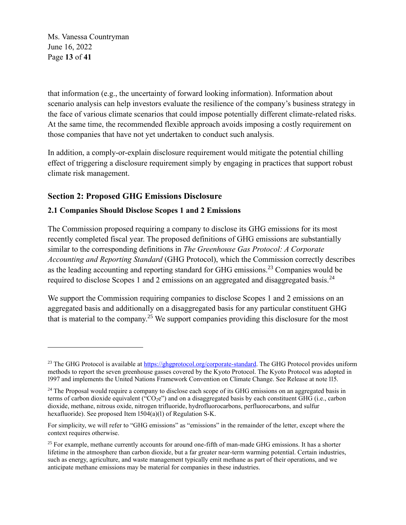Ms. Vanessa Countryman June 16, 2022 Page **13** of **41**

that information (e.g., the uncertainty of forward looking information). Information about scenario analysis can help investors evaluate the resilience of the company's business strategy in the face of various climate scenarios that could impose potentially different climate-related risks. At the same time, the recommended flexible approach avoids imposing a costly requirement on those companies that have not yet undertaken to conduct such analysis.

In addition, a comply-or-explain disclosure requirement would mitigate the potential chilling effect of triggering a disclosure requirement simply by engaging in practices that support robust climate risk management.

# **Section 2: Proposed GHG Emissions Disclosure**

## **2.1 Companies Should Disclose Scopes 1 and 2 Emissions**

The Commission proposed requiring a company to disclose its GHG emissions for its most recently completed fiscal year. The proposed definitions of GHG emissions are substantially similar to the corresponding definitions in *The Greenhouse Gas Protocol: A Corporate Accounting and Reporting Standard* (GHG Protocol), which the Commission correctly describes as the leading accounting and reporting standard for GHG emissions.<sup>23</sup> Companies would be required to disclose Scopes 1 and 2 emissions on an aggregated and disaggregated basis.<sup>24</sup>

We support the Commission requiring companies to disclose Scopes 1 and 2 emissions on an aggregated basis and additionally on a disaggregated basis for any particular constituent GHG that is material to the company.<sup>25</sup> We support companies providing this disclosure for the most

<sup>&</sup>lt;sup>23</sup> The GHG Protocol is available at [https://ghgprotocol.org/corporate-standard.](https://ghgprotocol.org/corporate-standard) The GHG Protocol provides uniform methods to report the seven greenhouse gasses covered by the Kyoto Protocol. The Kyoto Protocol was adopted in 1997 and implements the United Nations Framework Convention on Climate Change. See Release at note 115.

<sup>&</sup>lt;sup>24</sup> The Proposal would require a company to disclose each scope of its GHG emissions on an aggregated basis in terms of carbon dioxide equivalent ("CO2e") and on a disaggregated basis by each constituent GHG (i.e., carbon dioxide, methane, nitrous oxide, nitrogen trifluoride, hydrofluorocarbons, perfluorocarbons, and sulfur hexafluoride). See proposed Item 1504(a)(1) of Regulation S-K.

For simplicity, we will refer to "GHG emissions" as "emissions" in the remainder of the letter, except where the context requires otherwise.

<sup>&</sup>lt;sup>25</sup> For example, methane currently accounts for around one-fifth of man-made GHG emissions. It has a shorter lifetime in the atmosphere than carbon dioxide, but a far greater near-term warming potential. Certain industries, such as energy, agriculture, and waste management typically emit methane as part of their operations, and we anticipate methane emissions may be material for companies in these industries.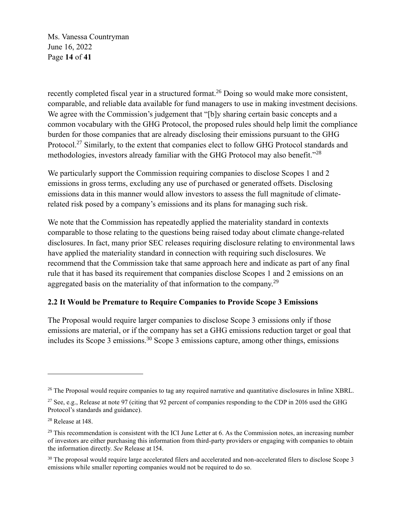Ms. Vanessa Countryman June 16, 2022 Page **14** of **41**

recently completed fiscal year in a structured format.<sup>26</sup> Doing so would make more consistent, comparable, and reliable data available for fund managers to use in making investment decisions. We agree with the Commission's judgement that "[b]y sharing certain basic concepts and a common vocabulary with the GHG Protocol, the proposed rules should help limit the compliance burden for those companies that are already disclosing their emissions pursuant to the GHG Protocol.<sup>27</sup> Similarly, to the extent that companies elect to follow GHG Protocol standards and methodologies, investors already familiar with the GHG Protocol may also benefit."<sup>28</sup>

We particularly support the Commission requiring companies to disclose Scopes 1 and 2 emissions in gross terms, excluding any use of purchased or generated offsets. Disclosing emissions data in this manner would allow investors to assess the full magnitude of climaterelated risk posed by a company's emissions and its plans for managing such risk.

We note that the Commission has repeatedly applied the materiality standard in contexts comparable to those relating to the questions being raised today about climate change-related disclosures. In fact, many prior SEC releases requiring disclosure relating to environmental laws have applied the materiality standard in connection with requiring such disclosures. We recommend that the Commission take that same approach here and indicate as part of any final rule that it has based its requirement that companies disclose Scopes 1 and 2 emissions on an aggregated basis on the materiality of that information to the company.<sup>29</sup>

#### **2.2 It Would be Premature to Require Companies to Provide Scope 3 Emissions**

The Proposal would require larger companies to disclose Scope 3 emissions only if those emissions are material, or if the company has set a GHG emissions reduction target or goal that includes its Scope 3 emissions.<sup>30</sup> Scope 3 emissions capture, among other things, emissions

<sup>&</sup>lt;sup>26</sup> The Proposal would require companies to tag any required narrative and quantitative disclosures in Inline XBRL.

<sup>&</sup>lt;sup>27</sup> See, e.g., Release at note 97 (citing that 92 percent of companies responding to the CDP in 2016 used the GHG Protocol's standards and guidance).

<sup>28</sup> Release at 148.

 $29$  This recommendation is consistent with the ICI June Letter at 6. As the Commission notes, an increasing number of investors are either purchasing this information from third-party providers or engaging with companies to obtain the information directly. *See* Release at 154.

<sup>&</sup>lt;sup>30</sup> The proposal would require large accelerated filers and accelerated and non-accelerated filers to disclose Scope 3 emissions while smaller reporting companies would not be required to do so.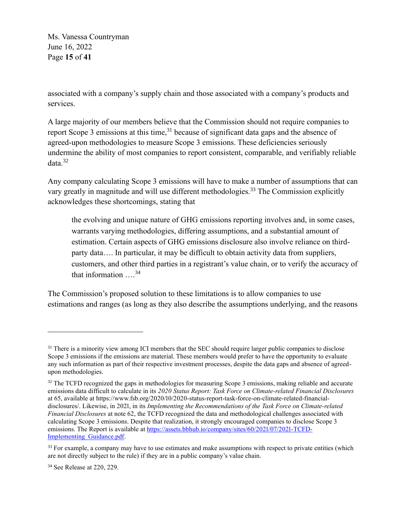Ms. Vanessa Countryman June 16, 2022 Page **15** of **41**

associated with a company's supply chain and those associated with a company's products and services.

A large majority of our members believe that the Commission should not require companies to report Scope 3 emissions at this time,  $3<sup>1</sup>$  because of significant data gaps and the absence of agreed-upon methodologies to measure Scope 3 emissions. These deficiencies seriously undermine the ability of most companies to report consistent, comparable, and verifiably reliable data. 32

Any company calculating Scope 3 emissions will have to make a number of assumptions that can vary greatly in magnitude and will use different methodologies.<sup>33</sup> The Commission explicitly acknowledges these shortcomings, stating that

the evolving and unique nature of GHG emissions reporting involves and, in some cases, warrants varying methodologies, differing assumptions, and a substantial amount of estimation. Certain aspects of GHG emissions disclosure also involve reliance on thirdparty data…. In particular, it may be difficult to obtain activity data from suppliers, customers, and other third parties in a registrant's value chain, or to verify the accuracy of that information  $\ldots^{34}$ 

The Commission's proposed solution to these limitations is to allow companies to use estimations and ranges (as long as they also describe the assumptions underlying, and the reasons

<sup>&</sup>lt;sup>31</sup> There is a minority view among ICI members that the SEC should require larger public companies to disclose Scope 3 emissions if the emissions are material. These members would prefer to have the opportunity to evaluate any such information as part of their respective investment processes, despite the data gaps and absence of agreedupon methodologies.

<sup>&</sup>lt;sup>32</sup> The TCFD recognized the gaps in methodologies for measuring Scope 3 emissions, making reliable and accurate emissions data difficult to calculate in its *2020 Status Report: Task Force on Climate-related Financial Disclosures* at 65, available at https://www.fsb.org/2020/10/2020-status-report-task-force-on-climate-related-financialdisclosures/. Likewise, in 2021, in its *Implementing the Recommendations of the Task Force on Climate-related Financial Disclosures* at note 62, the TCFD recognized the data and methodological challenges associated with calculating Scope 3 emissions. Despite that realization, it strongly encouraged companies to disclose Scope 3 emissions. The Report is available at [https://assets.bbhub.io/company/sites/60/2021/07/2021-TCFD-](https://assets.bbhub.io/company/sites/60/2021/07/2021-TCFD-Implementing_Guidance.pdf)[Implementing\\_Guidance.pdf.](https://assets.bbhub.io/company/sites/60/2021/07/2021-TCFD-Implementing_Guidance.pdf)

<sup>&</sup>lt;sup>33</sup> For example, a company may have to use estimates and make assumptions with respect to private entities (which are not directly subject to the rule) if they are in a public company's value chain.

<sup>34</sup> See Release at 220, 229.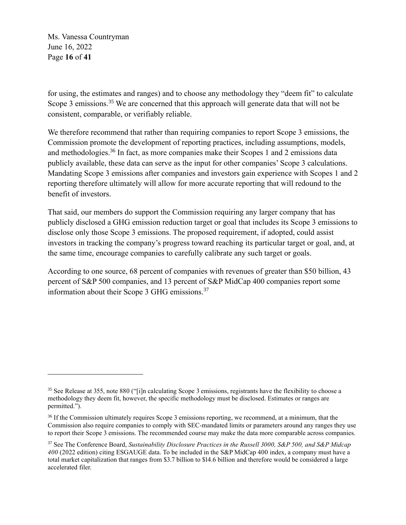Ms. Vanessa Countryman June 16, 2022 Page **16** of **41**

for using, the estimates and ranges) and to choose any methodology they "deem fit" to calculate Scope 3 emissions.<sup>35</sup> We are concerned that this approach will generate data that will not be consistent, comparable, or verifiably reliable.

We therefore recommend that rather than requiring companies to report Scope 3 emissions, the Commission promote the development of reporting practices, including assumptions, models, and methodologies.<sup>36</sup> In fact, as more companies make their Scopes 1 and 2 emissions data publicly available, these data can serve as the input for other companies' Scope 3 calculations. Mandating Scope 3 emissions after companies and investors gain experience with Scopes 1 and 2 reporting therefore ultimately will allow for more accurate reporting that will redound to the benefit of investors.

That said, our members do support the Commission requiring any larger company that has publicly disclosed a GHG emission reduction target or goal that includes its Scope 3 emissions to disclose only those Scope 3 emissions. The proposed requirement, if adopted, could assist investors in tracking the company's progress toward reaching its particular target or goal, and, at the same time, encourage companies to carefully calibrate any such target or goals.

According to one source, 68 percent of companies with revenues of greater than \$50 billion, 43 percent of S&P 500 companies, and 13 percent of S&P MidCap 400 companies report some information about their Scope 3 GHG emissions.<sup>37</sup>

<sup>&</sup>lt;sup>35</sup> See Release at 355, note 880 ("[i]n calculating Scope 3 emissions, registrants have the flexibility to choose a methodology they deem fit, however, the specific methodology must be disclosed. Estimates or ranges are permitted.").

<sup>&</sup>lt;sup>36</sup> If the Commission ultimately requires Scope 3 emissions reporting, we recommend, at a minimum, that the Commission also require companies to comply with SEC-mandated limits or parameters around any ranges they use to report their Scope 3 emissions. The recommended course may make the data more comparable across companies.

<sup>37</sup> See The Conference Board, *Sustainability Disclosure Practices in the Russell 3000, S&P 500, and S&P Midcap 400* (2022 edition) citing ESGAUGE data. To be included in the S&P MidCap 400 index, a company must have a total market capitalization that ranges from \$3.7 billion to \$14.6 billion and therefore would be considered a large accelerated filer.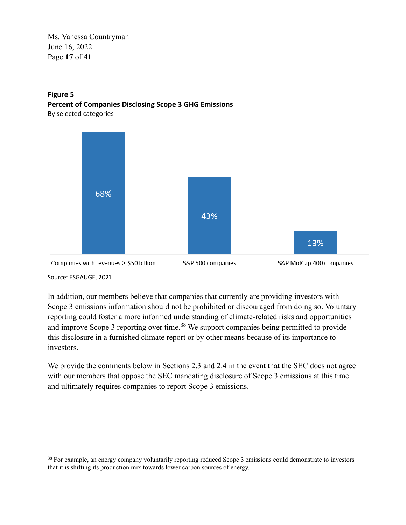Ms. Vanessa Countryman June 16, 2022 Page **17** of **41**

#### **Figure 5 Percent of Companies Disclosing Scope 3 GHG Emissions** By selected categories

68% 43% 13% Companies with revenues ≥ \$50 billion S&P 500 companies S&P MidCap 400 companies

# Source: ESGAUGE, 2021

In addition, our members believe that companies that currently are providing investors with Scope 3 emissions information should not be prohibited or discouraged from doing so. Voluntary reporting could foster a more informed understanding of climate-related risks and opportunities and improve Scope 3 reporting over time.<sup>38</sup> We support companies being permitted to provide this disclosure in a furnished climate report or by other means because of its importance to investors.

We provide the comments below in Sections 2.3 and 2.4 in the event that the SEC does not agree with our members that oppose the SEC mandating disclosure of Scope 3 emissions at this time and ultimately requires companies to report Scope 3 emissions.

<sup>&</sup>lt;sup>38</sup> For example, an energy company voluntarily reporting reduced Scope 3 emissions could demonstrate to investors that it is shifting its production mix towards lower carbon sources of energy.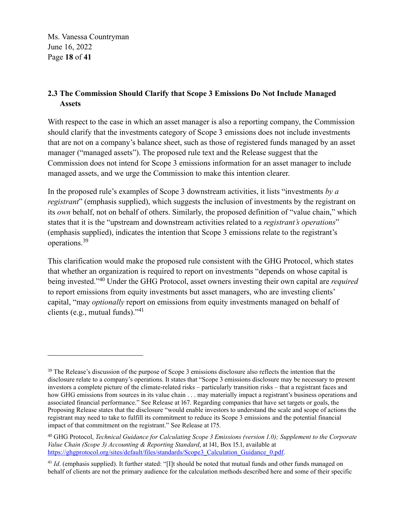Ms. Vanessa Countryman June 16, 2022 Page **18** of **41**

# **2.3 The Commission Should Clarify that Scope 3 Emissions Do Not Include Managed Assets**

With respect to the case in which an asset manager is also a reporting company, the Commission should clarify that the investments category of Scope 3 emissions does not include investments that are not on a company's balance sheet, such as those of registered funds managed by an asset manager ("managed assets"). The proposed rule text and the Release suggest that the Commission does not intend for Scope 3 emissions information for an asset manager to include managed assets, and we urge the Commission to make this intention clearer.

In the proposed rule's examples of Scope 3 downstream activities, it lists "investments *by a registrant*" (emphasis supplied), which suggests the inclusion of investments by the registrant on its *own* behalf, not on behalf of others. Similarly, the proposed definition of "value chain," which states that it is the "upstream and downstream activities related to a *registrant's operations*" (emphasis supplied), indicates the intention that Scope 3 emissions relate to the registrant's operations.<sup>39</sup>

This clarification would make the proposed rule consistent with the GHG Protocol, which states that whether an organization is required to report on investments "depends on whose capital is being invested."<sup>40</sup> Under the GHG Protocol, asset owners investing their own capital are *required* to report emissions from equity investments but asset managers, who are investing clients' capital, "may *optionally* report on emissions from equity investments managed on behalf of clients (e.g., mutual funds)."<sup>41</sup>

<sup>&</sup>lt;sup>39</sup> The Release's discussion of the purpose of Scope 3 emissions disclosure also reflects the intention that the disclosure relate to a company's operations. It states that "Scope 3 emissions disclosure may be necessary to present investors a complete picture of the climate-related risks – particularly transition risks – that a registrant faces and how GHG emissions from sources in its value chain . . . may materially impact a registrant's business operations and associated financial performance." See Release at 167. Regarding companies that have set targets or goals, the Proposing Release states that the disclosure "would enable investors to understand the scale and scope of actions the registrant may need to take to fulfill its commitment to reduce its Scope 3 emissions and the potential financial impact of that commitment on the registrant." See Release at 175.

<sup>40</sup> GHG Protocol, *Technical Guidance for Calculating Scope 3 Emissions (version 1.0); Supplement to the Corporate Value Chain (Scope 3) Accounting & Reporting Standard*, at 141, Box 15.1, available at [https://ghgprotocol.org/sites/default/files/standards/Scope3\\_Calculation\\_Guidance\\_0.pdf.](https://ghgprotocol.org/sites/default/files/standards/Scope3_Calculation_Guidance_0.pdf)

<sup>&</sup>lt;sup>41</sup> *Id.* (emphasis supplied). It further stated: "[I]t should be noted that mutual funds and other funds managed on behalf of clients are not the primary audience for the calculation methods described here and some of their specific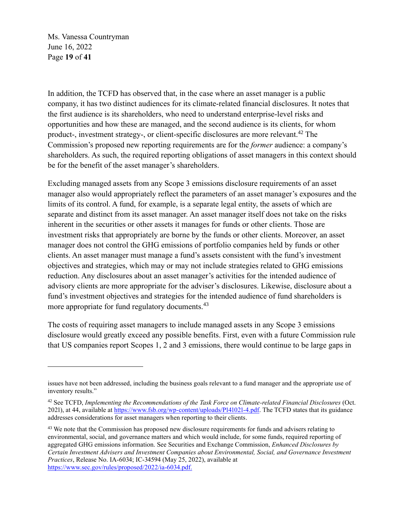Ms. Vanessa Countryman June 16, 2022 Page **19** of **41**

In addition, the TCFD has observed that, in the case where an asset manager is a public company, it has two distinct audiences for its climate-related financial disclosures. It notes that the first audience is its shareholders, who need to understand enterprise-level risks and opportunities and how these are managed, and the second audience is its clients, for whom product-, investment strategy-, or client-specific disclosures are more relevant.<sup>42</sup> The Commission's proposed new reporting requirements are for the *former* audience: a company's shareholders. As such, the required reporting obligations of asset managers in this context should be for the benefit of the asset manager's shareholders.

Excluding managed assets from any Scope 3 emissions disclosure requirements of an asset manager also would appropriately reflect the parameters of an asset manager's exposures and the limits of its control. A fund, for example, is a separate legal entity, the assets of which are separate and distinct from its asset manager. An asset manager itself does not take on the risks inherent in the securities or other assets it manages for funds or other clients. Those are investment risks that appropriately are borne by the funds or other clients. Moreover, an asset manager does not control the GHG emissions of portfolio companies held by funds or other clients. An asset manager must manage a fund's assets consistent with the fund's investment objectives and strategies, which may or may not include strategies related to GHG emissions reduction. Any disclosures about an asset manager's activities for the intended audience of advisory clients are more appropriate for the adviser's disclosures. Likewise, disclosure about a fund's investment objectives and strategies for the intended audience of fund shareholders is more appropriate for fund regulatory documents.<sup>43</sup>

The costs of requiring asset managers to include managed assets in any Scope 3 emissions disclosure would greatly exceed any possible benefits. First, even with a future Commission rule that US companies report Scopes 1, 2 and 3 emissions, there would continue to be large gaps in

issues have not been addressed, including the business goals relevant to a fund manager and the appropriate use of inventory results."

<sup>42</sup> See TCFD, *Implementing the Recommendations of the Task Force on Climate-related Financial Disclosures* (Oct. 2021), at 44, available at [https://www.fsb.org/wp-content/uploads/P141021-4.pdf.](https://www.fsb.org/wp-content/uploads/P141021-4.pdf) The TCFD states that its guidance addresses considerations for asset managers when reporting to their clients.

<sup>&</sup>lt;sup>43</sup> We note that the Commission has proposed new disclosure requirements for funds and advisers relating to environmental, social, and governance matters and which would include, for some funds, required reporting of aggregated GHG emissions information. See Securities and Exchange Commission, *Enhanced Disclosures by Certain Investment Advisers and Investment Companies about Environmental, Social, and Governance Investment Practices*, Release No. IA-6034; IC-34594 (May 25, 2022), available at [https://www.sec.gov/rules/proposed/2022/ia-6034.pdf.](https://www.sec.gov/rules/proposed/2022/ia-6034.pdf)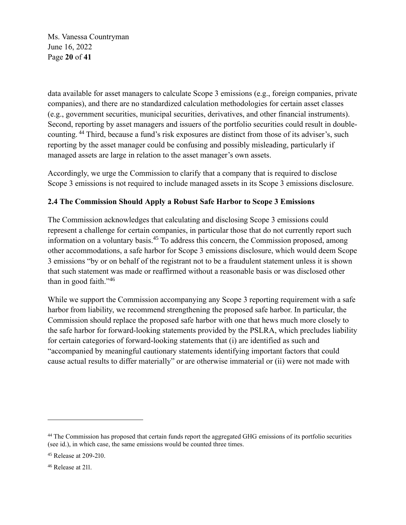Ms. Vanessa Countryman June 16, 2022 Page **20** of **41**

data available for asset managers to calculate Scope 3 emissions (e.g., foreign companies, private companies), and there are no standardized calculation methodologies for certain asset classes (e.g., government securities, municipal securities, derivatives, and other financial instruments). Second, reporting by asset managers and issuers of the portfolio securities could result in doublecounting. <sup>44</sup> Third, because a fund's risk exposures are distinct from those of its adviser's, such reporting by the asset manager could be confusing and possibly misleading, particularly if managed assets are large in relation to the asset manager's own assets.

Accordingly, we urge the Commission to clarify that a company that is required to disclose Scope 3 emissions is not required to include managed assets in its Scope 3 emissions disclosure.

## **2.4 The Commission Should Apply a Robust Safe Harbor to Scope 3 Emissions**

The Commission acknowledges that calculating and disclosing Scope 3 emissions could represent a challenge for certain companies, in particular those that do not currently report such information on a voluntary basis.<sup>45</sup> To address this concern, the Commission proposed, among other accommodations, a safe harbor for Scope 3 emissions disclosure, which would deem Scope 3 emissions "by or on behalf of the registrant not to be a fraudulent statement unless it is shown that such statement was made or reaffirmed without a reasonable basis or was disclosed other than in good faith."<sup>46</sup>

While we support the Commission accompanying any Scope 3 reporting requirement with a safe harbor from liability, we recommend strengthening the proposed safe harbor. In particular, the Commission should replace the proposed safe harbor with one that hews much more closely to the safe harbor for forward-looking statements provided by the PSLRA, which precludes liability for certain categories of forward-looking statements that (i) are identified as such and "accompanied by meaningful cautionary statements identifying important factors that could cause actual results to differ materially" or are otherwise immaterial or (ii) were not made with

<sup>&</sup>lt;sup>44</sup> The Commission has proposed that certain funds report the aggregated GHG emissions of its portfolio securities (see id.), in which case, the same emissions would be counted three times.

<sup>45</sup> Release at 209-210.

<sup>46</sup> Release at 211.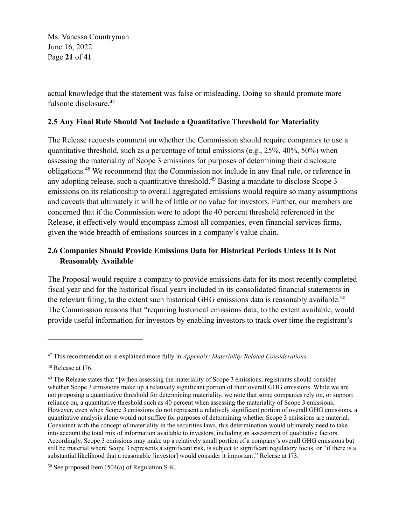Ms. Vanessa Countryman June 16, 2022 Page **21** of **41**

actual knowledge that the statement was false or misleading. Doing so should promote more fulsome disclosure. 47

#### **2.5 Any Final Rule Should Not Include a Quantitative Threshold for Materiality**

The Release requests comment on whether the Commission should require companies to use a quantitative threshold, such as a percentage of total emissions (e.g., 25%, 40%, 50%) when assessing the materiality of Scope 3 emissions for purposes of determining their disclosure obligations.<sup>48</sup> We recommend that the Commission not include in any final rule, or reference in any adopting release, such a quantitative threshold.<sup>49</sup> Basing a mandate to disclose Scope 3 emissions on its relationship to overall aggregated emissions would require so many assumptions and caveats that ultimately it will be of little or no value for investors. Further, our members are concerned that if the Commission were to adopt the 40 percent threshold referenced in the Release, it effectively would encompass almost all companies, even financial services firms, given the wide breadth of emissions sources in a company's value chain.

# **2.6 Companies Should Provide Emissions Data for Historical Periods Unless It Is Not Reasonably Available**

The Proposal would require a company to provide emissions data for its most recently completed fiscal year and for the historical fiscal years included in its consolidated financial statements in the relevant filing, to the extent such historical GHG emissions data is reasonably available.<sup>50</sup> The Commission reasons that "requiring historical emissions data, to the extent available, would provide useful information for investors by enabling investors to track over time the registrant's

<sup>47</sup> This recommendation is explained more fully in *Appendix: Materiality-Related Considerations*.

<sup>&</sup>lt;sup>48</sup> Release at 176.

<sup>&</sup>lt;sup>49</sup> The Release states that "[w]hen assessing the materiality of Scope 3 emissions, registrants should consider whether Scope 3 emissions make up a relatively significant portion of their overall GHG emissions. While we are not proposing a quantitative threshold for determining materiality, we note that some companies rely on, or support reliance on, a quantitative threshold such as 40 percent when assessing the materiality of Scope 3 emissions. However, even when Scope 3 emissions do not represent a relatively significant portion of overall GHG emissions, a quantitative analysis alone would not suffice for purposes of determining whether Scope 3 emissions are material. Consistent with the concept of materiality in the securities laws, this determination would ultimately need to take into account the total mix of information available to investors, including an assessment of qualitative factors. Accordingly, Scope 3 emissions may make up a relatively small portion of a company's overall GHG emissions but still be material where Scope 3 represents a significant risk, is subject to significant regulatory focus, or "if there is a substantial likelihood that a reasonable [investor] would consider it important." Release at 173.

 $50$  See proposed Item 1504(a) of Regulation S-K.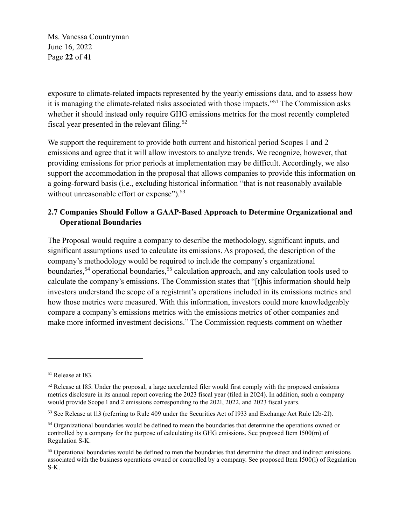Ms. Vanessa Countryman June 16, 2022 Page **22** of **41**

exposure to climate-related impacts represented by the yearly emissions data, and to assess how it is managing the climate-related risks associated with those impacts."<sup>51</sup> The Commission asks whether it should instead only require GHG emissions metrics for the most recently completed fiscal year presented in the relevant filing.<sup>52</sup>

We support the requirement to provide both current and historical period Scopes 1 and 2 emissions and agree that it will allow investors to analyze trends. We recognize, however, that providing emissions for prior periods at implementation may be difficult. Accordingly, we also support the accommodation in the proposal that allows companies to provide this information on a going-forward basis (i.e., excluding historical information "that is not reasonably available without unreasonable effort or expense").<sup>53</sup>

# **2.7 Companies Should Follow a GAAP-Based Approach to Determine Organizational and Operational Boundaries**

The Proposal would require a company to describe the methodology, significant inputs, and significant assumptions used to calculate its emissions. As proposed, the description of the company's methodology would be required to include the company's organizational boundaries,<sup>54</sup> operational boundaries,<sup>55</sup> calculation approach, and any calculation tools used to calculate the company's emissions. The Commission states that "[t]his information should help investors understand the scope of a registrant's operations included in its emissions metrics and how those metrics were measured. With this information, investors could more knowledgeably compare a company's emissions metrics with the emissions metrics of other companies and make more informed investment decisions." The Commission requests comment on whether

<sup>51</sup> Release at 183.

<sup>&</sup>lt;sup>52</sup> Release at 185. Under the proposal, a large accelerated filer would first comply with the proposed emissions metrics disclosure in its annual report covering the 2023 fiscal year (filed in 2024). In addition, such a company would provide Scope 1 and 2 emissions corresponding to the 2021, 2022, and 2023 fiscal years.

<sup>53</sup> See Release at 113 (referring to Rule 409 under the Securities Act of 1933 and Exchange Act Rule 12b-21).

<sup>54</sup> Organizational boundaries would be defined to mean the boundaries that determine the operations owned or controlled by a company for the purpose of calculating its GHG emissions. See proposed Item 1500(m) of Regulation S-K.

<sup>&</sup>lt;sup>55</sup> Operational boundaries would be defined to men the boundaries that determine the direct and indirect emissions associated with the business operations owned or controlled by a company. See proposed Item 1500(l) of Regulation S-K.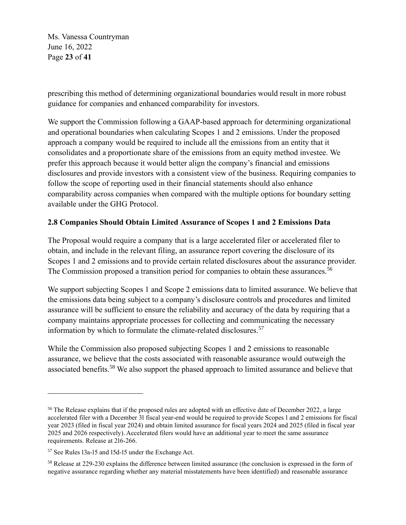Ms. Vanessa Countryman June 16, 2022 Page **23** of **41**

prescribing this method of determining organizational boundaries would result in more robust guidance for companies and enhanced comparability for investors.

We support the Commission following a GAAP-based approach for determining organizational and operational boundaries when calculating Scopes 1 and 2 emissions. Under the proposed approach a company would be required to include all the emissions from an entity that it consolidates and a proportionate share of the emissions from an equity method investee. We prefer this approach because it would better align the company's financial and emissions disclosures and provide investors with a consistent view of the business. Requiring companies to follow the scope of reporting used in their financial statements should also enhance comparability across companies when compared with the multiple options for boundary setting available under the GHG Protocol.

# **2.8 Companies Should Obtain Limited Assurance of Scopes 1 and 2 Emissions Data**

The Proposal would require a company that is a large accelerated filer or accelerated filer to obtain, and include in the relevant filing, an assurance report covering the disclosure of its Scopes 1 and 2 emissions and to provide certain related disclosures about the assurance provider. The Commission proposed a transition period for companies to obtain these assurances.<sup>56</sup>

We support subjecting Scopes 1 and Scope 2 emissions data to limited assurance. We believe that the emissions data being subject to a company's disclosure controls and procedures and limited assurance will be sufficient to ensure the reliability and accuracy of the data by requiring that a company maintains appropriate processes for collecting and communicating the necessary information by which to formulate the climate-related disclosures.<sup>57</sup>

While the Commission also proposed subjecting Scopes 1 and 2 emissions to reasonable assurance, we believe that the costs associated with reasonable assurance would outweigh the associated benefits.<sup>58</sup> We also support the phased approach to limited assurance and believe that

<sup>&</sup>lt;sup>56</sup> The Release explains that if the proposed rules are adopted with an effective date of December 2022, a large accelerated filer with a December 31 fiscal year-end would be required to provide Scopes 1 and 2 emissions for fiscal year 2023 (filed in fiscal year 2024) and obtain limited assurance for fiscal years 2024 and 2025 (filed in fiscal year 2025 and 2026 respectively). Accelerated filers would have an additional year to meet the same assurance requirements. Release at 216-266.

<sup>57</sup> See Rules 13a-15 and 15d-15 under the Exchange Act.

<sup>58</sup> Release at 229-230 explains the difference between limited assurance (the conclusion is expressed in the form of negative assurance regarding whether any material misstatements have been identified) and reasonable assurance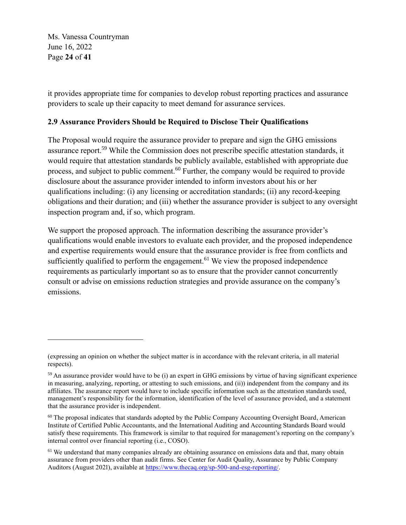Ms. Vanessa Countryman June 16, 2022 Page **24** of **41**

it provides appropriate time for companies to develop robust reporting practices and assurance providers to scale up their capacity to meet demand for assurance services.

#### **2.9 Assurance Providers Should be Required to Disclose Their Qualifications**

The Proposal would require the assurance provider to prepare and sign the GHG emissions assurance report.<sup>59</sup> While the Commission does not prescribe specific attestation standards, it would require that attestation standards be publicly available, established with appropriate due process, and subject to public comment.<sup>60</sup> Further, the company would be required to provide disclosure about the assurance provider intended to inform investors about his or her qualifications including: (i) any licensing or accreditation standards; (ii) any record-keeping obligations and their duration; and (iii) whether the assurance provider is subject to any oversight inspection program and, if so, which program.

We support the proposed approach. The information describing the assurance provider's qualifications would enable investors to evaluate each provider, and the proposed independence and expertise requirements would ensure that the assurance provider is free from conflicts and sufficiently qualified to perform the engagement.<sup>61</sup> We view the proposed independence requirements as particularly important so as to ensure that the provider cannot concurrently consult or advise on emissions reduction strategies and provide assurance on the company's emissions.

<sup>(</sup>expressing an opinion on whether the subject matter is in accordance with the relevant criteria, in all material respects).

<sup>&</sup>lt;sup>59</sup> An assurance provider would have to be (i) an expert in GHG emissions by virtue of having significant experience in measuring, analyzing, reporting, or attesting to such emissions, and (ii)) independent from the company and its affiliates. The assurance report would have to include specific information such as the attestation standards used, management's responsibility for the information, identification of the level of assurance provided, and a statement that the assurance provider is independent.

<sup>&</sup>lt;sup>60</sup> The proposal indicates that standards adopted by the Public Company Accounting Oversight Board, American Institute of Certified Public Accountants, and the International Auditing and Accounting Standards Board would satisfy these requirements. This framework is similar to that required for management's reporting on the company's internal control over financial reporting (i.e., COSO).

<sup>&</sup>lt;sup>61</sup> We understand that many companies already are obtaining assurance on emissions data and that, many obtain assurance from providers other than audit firms. See Center for Audit Quality, Assurance by Public Company Auditors (August 2021), available at [https://www.thecaq.org/sp-500-and-esg-reporting/.](https://www.thecaq.org/sp-500-and-esg-reporting/)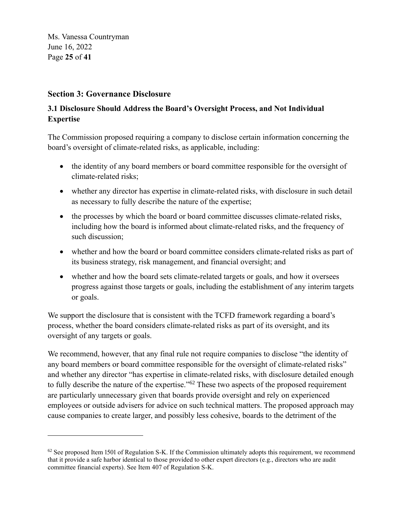Ms. Vanessa Countryman June 16, 2022 Page **25** of **41**

# **Section 3: Governance Disclosure**

# **3.1 Disclosure Should Address the Board's Oversight Process, and Not Individual Expertise**

The Commission proposed requiring a company to disclose certain information concerning the board's oversight of climate-related risks, as applicable, including:

- the identity of any board members or board committee responsible for the oversight of climate-related risks;
- whether any director has expertise in climate-related risks, with disclosure in such detail as necessary to fully describe the nature of the expertise;
- the processes by which the board or board committee discusses climate-related risks, including how the board is informed about climate-related risks, and the frequency of such discussion;
- whether and how the board or board committee considers climate-related risks as part of its business strategy, risk management, and financial oversight; and
- whether and how the board sets climate-related targets or goals, and how it oversees progress against those targets or goals, including the establishment of any interim targets or goals.

We support the disclosure that is consistent with the TCFD framework regarding a board's process, whether the board considers climate-related risks as part of its oversight, and its oversight of any targets or goals.

We recommend, however, that any final rule not require companies to disclose "the identity of any board members or board committee responsible for the oversight of climate-related risks" and whether any director "has expertise in climate-related risks, with disclosure detailed enough to fully describe the nature of the expertise."<sup> $62$ </sup> These two aspects of the proposed requirement are particularly unnecessary given that boards provide oversight and rely on experienced employees or outside advisers for advice on such technical matters. The proposed approach may cause companies to create larger, and possibly less cohesive, boards to the detriment of the

 $62$  See proposed Item 1501 of Regulation S-K. If the Commission ultimately adopts this requirement, we recommend that it provide a safe harbor identical to those provided to other expert directors (e.g., directors who are audit committee financial experts). See Item 407 of Regulation S-K.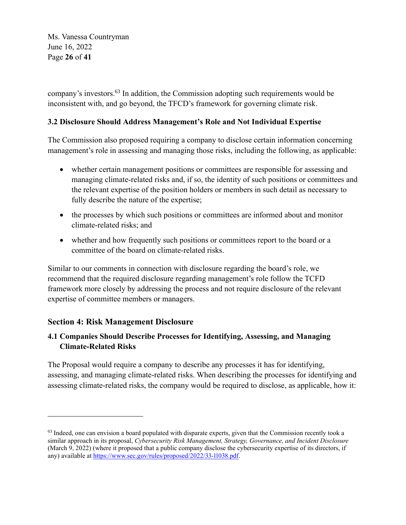Ms. Vanessa Countryman June 16, 2022 Page **26** of **41**

company's investors.<sup>63</sup> In addition, the Commission adopting such requirements would be inconsistent with, and go beyond, the TFCD's framework for governing climate risk.

# **3.2 Disclosure Should Address Management's Role and Not Individual Expertise**

The Commission also proposed requiring a company to disclose certain information concerning management's role in assessing and managing those risks, including the following, as applicable:

- whether certain management positions or committees are responsible for assessing and managing climate-related risks and, if so, the identity of such positions or committees and the relevant expertise of the position holders or members in such detail as necessary to fully describe the nature of the expertise;
- the processes by which such positions or committees are informed about and monitor climate-related risks; and
- whether and how frequently such positions or committees report to the board or a committee of the board on climate-related risks.

Similar to our comments in connection with disclosure regarding the board's role, we recommend that the required disclosure regarding management's role follow the TCFD framework more closely by addressing the process and not require disclosure of the relevant expertise of committee members or managers.

# **Section 4: Risk Management Disclosure**

## **4.1 Companies Should Describe Processes for Identifying, Assessing, and Managing Climate-Related Risks**

The Proposal would require a company to describe any processes it has for identifying, assessing, and managing climate-related risks. When describing the processes for identifying and assessing climate-related risks, the company would be required to disclose, as applicable, how it:

 $63$  Indeed, one can envision a board populated with disparate experts, given that the Commission recently took a similar approach in its proposal, *Cybersecurity Risk Management, Strategy, Governance, and Incident Disclosure* (March 9, 2022) (where it proposed that a public company disclose the cybersecurity expertise of its directors, if any) available a[t https://www.sec.gov/rules/proposed/2022/33-11038.pdf.](https://www.sec.gov/rules/proposed/2022/33-11038.pdf)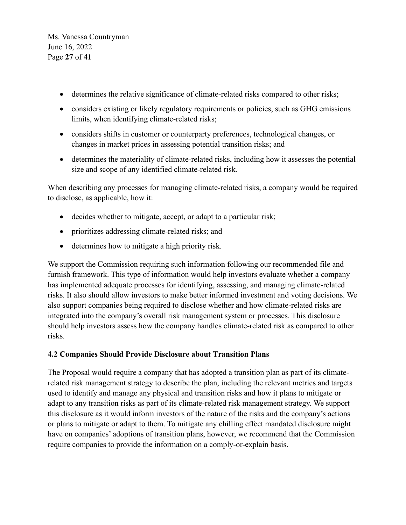Ms. Vanessa Countryman June 16, 2022 Page **27** of **41**

- determines the relative significance of climate-related risks compared to other risks;
- considers existing or likely regulatory requirements or policies, such as GHG emissions limits, when identifying climate-related risks;
- considers shifts in customer or counterparty preferences, technological changes, or changes in market prices in assessing potential transition risks; and
- determines the materiality of climate-related risks, including how it assesses the potential size and scope of any identified climate-related risk.

When describing any processes for managing climate-related risks, a company would be required to disclose, as applicable, how it:

- decides whether to mitigate, accept, or adapt to a particular risk;
- prioritizes addressing climate-related risks; and
- determines how to mitigate a high priority risk.

We support the Commission requiring such information following our recommended file and furnish framework. This type of information would help investors evaluate whether a company has implemented adequate processes for identifying, assessing, and managing climate-related risks. It also should allow investors to make better informed investment and voting decisions. We also support companies being required to disclose whether and how climate-related risks are integrated into the company's overall risk management system or processes. This disclosure should help investors assess how the company handles climate-related risk as compared to other risks.

#### **4.2 Companies Should Provide Disclosure about Transition Plans**

The Proposal would require a company that has adopted a transition plan as part of its climaterelated risk management strategy to describe the plan, including the relevant metrics and targets used to identify and manage any physical and transition risks and how it plans to mitigate or adapt to any transition risks as part of its climate-related risk management strategy. We support this disclosure as it would inform investors of the nature of the risks and the company's actions or plans to mitigate or adapt to them. To mitigate any chilling effect mandated disclosure might have on companies' adoptions of transition plans, however, we recommend that the Commission require companies to provide the information on a comply-or-explain basis.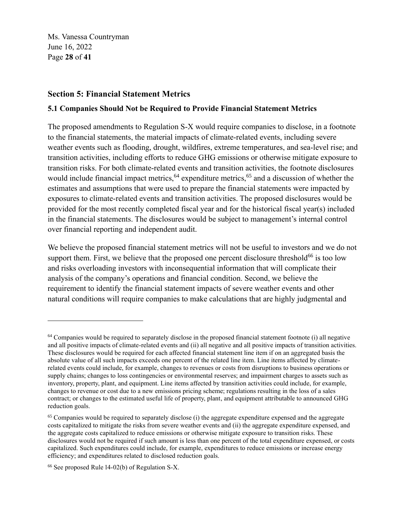Ms. Vanessa Countryman June 16, 2022 Page **28** of **41**

# **Section 5: Financial Statement Metrics**

#### **5.1 Companies Should Not be Required to Provide Financial Statement Metrics**

The proposed amendments to Regulation S-X would require companies to disclose, in a footnote to the financial statements, the material impacts of climate-related events, including severe weather events such as flooding, drought, wildfires, extreme temperatures, and sea-level rise; and transition activities, including efforts to reduce GHG emissions or otherwise mitigate exposure to transition risks. For both climate-related events and transition activities, the footnote disclosures would include financial impact metrics,  $64$  expenditure metrics,  $65$  and a discussion of whether the estimates and assumptions that were used to prepare the financial statements were impacted by exposures to climate-related events and transition activities. The proposed disclosures would be provided for the most recently completed fiscal year and for the historical fiscal year(s) included in the financial statements. The disclosures would be subject to management's internal control over financial reporting and independent audit.

We believe the proposed financial statement metrics will not be useful to investors and we do not support them. First, we believe that the proposed one percent disclosure threshold<sup>66</sup> is too low and risks overloading investors with inconsequential information that will complicate their analysis of the company's operations and financial condition. Second, we believe the requirement to identify the financial statement impacts of severe weather events and other natural conditions will require companies to make calculations that are highly judgmental and

 $64$  Companies would be required to separately disclose in the proposed financial statement footnote (i) all negative and all positive impacts of climate-related events and (ii) all negative and all positive impacts of transition activities. These disclosures would be required for each affected financial statement line item if on an aggregated basis the absolute value of all such impacts exceeds one percent of the related line item. Line items affected by climaterelated events could include, for example, changes to revenues or costs from disruptions to business operations or supply chains; changes to loss contingencies or environmental reserves; and impairment charges to assets such as inventory, property, plant, and equipment. Line items affected by transition activities could include, for example, changes to revenue or cost due to a new emissions pricing scheme; regulations resulting in the loss of a sales contract; or changes to the estimated useful life of property, plant, and equipment attributable to announced GHG reduction goals.

<sup>&</sup>lt;sup>65</sup> Companies would be required to separately disclose (i) the aggregate expenditure expensed and the aggregate costs capitalized to mitigate the risks from severe weather events and (ii) the aggregate expenditure expensed, and the aggregate costs capitalized to reduce emissions or otherwise mitigate exposure to transition risks. These disclosures would not be required if such amount is less than one percent of the total expenditure expensed, or costs capitalized. Such expenditures could include, for example, expenditures to reduce emissions or increase energy efficiency; and expenditures related to disclosed reduction goals.

 $66$  See proposed Rule 14-02(b) of Regulation S-X.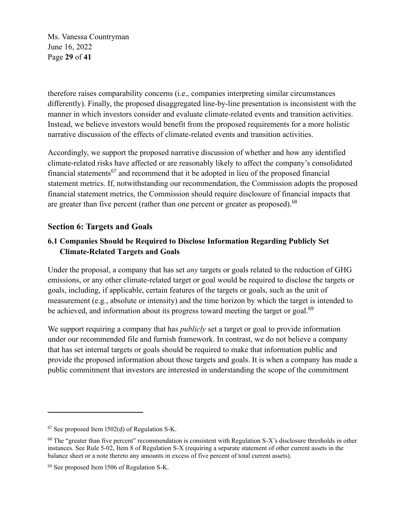Ms. Vanessa Countryman June 16, 2022 Page **29** of **41**

therefore raises comparability concerns (i.e., companies interpreting similar circumstances differently). Finally, the proposed disaggregated line-by-line presentation is inconsistent with the manner in which investors consider and evaluate climate-related events and transition activities. Instead, we believe investors would benefit from the proposed requirements for a more holistic narrative discussion of the effects of climate-related events and transition activities.

Accordingly, we support the proposed narrative discussion of whether and how any identified climate-related risks have affected or are reasonably likely to affect the company's consolidated financial statements<sup>67</sup> and recommend that it be adopted in lieu of the proposed financial statement metrics. If, notwithstanding our recommendation, the Commission adopts the proposed financial statement metrics, the Commission should require disclosure of financial impacts that are greater than five percent (rather than one percent or greater as proposed).<sup>68</sup>

# **Section 6: Targets and Goals**

# **6.1 Companies Should be Required to Disclose Information Regarding Publicly Set Climate-Related Targets and Goals**

Under the proposal, a company that has set *any* targets or goals related to the reduction of GHG emissions, or any other climate-related target or goal would be required to disclose the targets or goals, including, if applicable, certain features of the targets or goals, such as the unit of measurement (e.g., absolute or intensity) and the time horizon by which the target is intended to be achieved, and information about its progress toward meeting the target or goal.<sup>69</sup>

We support requiring a company that has *publicly* set a target or goal to provide information under our recommended file and furnish framework. In contrast, we do not believe a company that has set internal targets or goals should be required to make that information public and provide the proposed information about those targets and goals. It is when a company has made a public commitment that investors are interested in understanding the scope of the commitment

 $67$  See proposed Item 1502(d) of Regulation S-K.

<sup>&</sup>lt;sup>68</sup> The "greater than five percent" recommendation is consistent with Regulation S-X's disclosure thresholds in other instances. See Rule 5-02, Item 8 of Regulation S-X (requiring a separate statement of other current assets in the balance sheet or a note thereto any amounts in excess of five percent of total current assets).

<sup>69</sup> See proposed Item 1506 of Regulation S-K.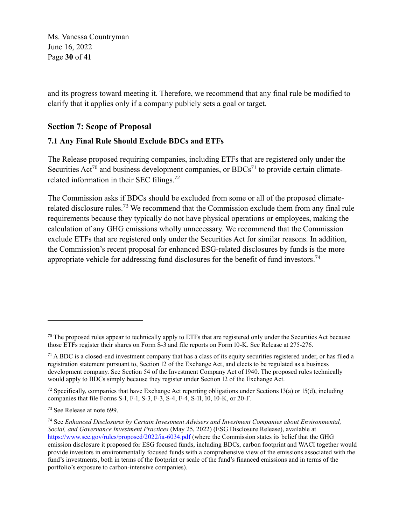Ms. Vanessa Countryman June 16, 2022 Page **30** of **41**

and its progress toward meeting it. Therefore, we recommend that any final rule be modified to clarify that it applies only if a company publicly sets a goal or target.

# **Section 7: Scope of Proposal**

#### **7.1 Any Final Rule Should Exclude BDCs and ETFs**

The Release proposed requiring companies, including ETFs that are registered only under the Securities Act<sup>70</sup> and business development companies, or  $BDCs<sup>71</sup>$  to provide certain climaterelated information in their SEC filings.<sup>72</sup>

The Commission asks if BDCs should be excluded from some or all of the proposed climaterelated disclosure rules.<sup>73</sup> We recommend that the Commission exclude them from any final rule requirements because they typically do not have physical operations or employees, making the calculation of any GHG emissions wholly unnecessary. We recommend that the Commission exclude ETFs that are registered only under the Securities Act for similar reasons. In addition, the Commission's recent proposal for enhanced ESG-related disclosures by funds is the more appropriate vehicle for addressing fund disclosures for the benefit of fund investors.<sup>74</sup>

 $70$  The proposed rules appear to technically apply to ETFs that are registered only under the Securities Act because those ETFs register their shares on Form S-3 and file reports on Form 10-K. See Release at 275-276.

 $71$  A BDC is a closed-end investment company that has a class of its equity securities registered under, or has filed a registration statement pursuant to, Section 12 of the Exchange Act, and elects to be regulated as a business development company. See Section 54 of the Investment Company Act of 1940. The proposed rules technically would apply to BDCs simply because they register under Section 12 of the Exchange Act.

 $72$  Specifically, companies that have Exchange Act reporting obligations under Sections 13(a) or 15(d), including companies that file Forms S-1, F-1, S-3, F-3, S-4, F-4, S-11, 10, 10-K, or 20-F.

<sup>73</sup> See Release at note 699.

<sup>74</sup> See *Enhanced Disclosures by Certain Investment Advisers and Investment Companies about Environmental, Social, and Governance Investment Practices* (May 25, 2022) (ESG Disclosure Release), available at <https://www.sec.gov/rules/proposed/2022/ia-6034.pdf> (where the Commission states its belief that the GHG emission disclosure it proposed for ESG focused funds, including BDCs, carbon footprint and WACI together would provide investors in environmentally focused funds with a comprehensive view of the emissions associated with the fund's investments, both in terms of the footprint or scale of the fund's financed emissions and in terms of the portfolio's exposure to carbon-intensive companies).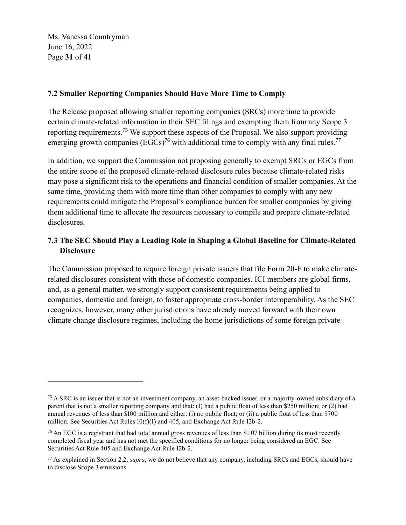Ms. Vanessa Countryman June 16, 2022 Page **31** of **41**

#### **7.2 Smaller Reporting Companies Should Have More Time to Comply**

The Release proposed allowing smaller reporting companies (SRCs) more time to provide certain climate-related information in their SEC filings and exempting them from any Scope 3 reporting requirements.<sup>75</sup> We support these aspects of the Proposal. We also support providing emerging growth companies (EGCs)<sup>76</sup> with additional time to comply with any final rules.<sup>77</sup>

In addition, we support the Commission not proposing generally to exempt SRCs or EGCs from the entire scope of the proposed climate-related disclosure rules because climate-related risks may pose a significant risk to the operations and financial condition of smaller companies. At the same time, providing them with more time than other companies to comply with any new requirements could mitigate the Proposal's compliance burden for smaller companies by giving them additional time to allocate the resources necessary to compile and prepare climate-related disclosures.

# **7.3 The SEC Should Play a Leading Role in Shaping a Global Baseline for Climate-Related Disclosure**

The Commission proposed to require foreign private issuers that file Form 20-F to make climaterelated disclosures consistent with those of domestic companies. ICI members are global firms, and, as a general matter, we strongly support consistent requirements being applied to companies, domestic and foreign, to foster appropriate cross-border interoperability. As the SEC recognizes, however, many other jurisdictions have already moved forward with their own climate change disclosure regimes, including the home jurisdictions of some foreign private

<sup>&</sup>lt;sup>75</sup> A SRC is an issuer that is not an investment company, an asset-backed issuer, or a majority-owned subsidiary of a parent that is not a smaller reporting company and that: (1) had a public float of less than \$250 million; or (2) had annual revenues of less than \$100 million and either: (i) no public float; or (ii) a public float of less than \$700 million. See Securities Act Rules 10(f)(1) and 405, and Exchange Act Rule 12b-2.

 $76$  An EGC is a registrant that had total annual gross revenues of less than \$1.07 billion during its most recently completed fiscal year and has not met the specified conditions for no longer being considered an EGC. See Securities Act Rule 405 and Exchange Act Rule 12b-2.

<sup>77</sup> As explained in Section 2.2, *supra*, we do not believe that any company, including SRCs and EGCs, should have to disclose Scope 3 emissions.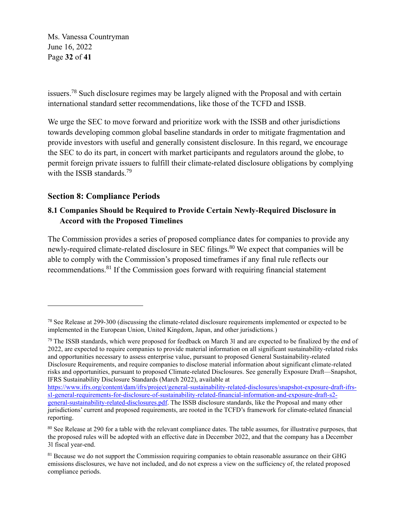Ms. Vanessa Countryman June 16, 2022 Page **32** of **41**

issuers.<sup>78</sup> Such disclosure regimes may be largely aligned with the Proposal and with certain international standard setter recommendations, like those of the TCFD and ISSB.

We urge the SEC to move forward and prioritize work with the ISSB and other jurisdictions towards developing common global baseline standards in order to mitigate fragmentation and provide investors with useful and generally consistent disclosure. In this regard, we encourage the SEC to do its part, in concert with market participants and regulators around the globe, to permit foreign private issuers to fulfill their climate-related disclosure obligations by complying with the ISSB standards.<sup>79</sup>

# **Section 8: Compliance Periods**

## **8.1 Companies Should be Required to Provide Certain Newly-Required Disclosure in Accord with the Proposed Timelines**

The Commission provides a series of proposed compliance dates for companies to provide any newly-required climate-related disclosure in SEC filings.<sup>80</sup> We expect that companies will be able to comply with the Commission's proposed timeframes if any final rule reflects our recommendations.<sup>81</sup> If the Commission goes forward with requiring financial statement

 $79$  The ISSB standards, which were proposed for feedback on March 31 and are expected to be finalized by the end of 2022, are expected to require companies to provide material information on all significant sustainability-related risks and opportunities necessary to assess enterprise value, pursuant to proposed General Sustainability-related Disclosure Requirements, and require companies to disclose material information about significant climate-related risks and opportunities, pursuant to proposed Climate-related Disclosures. See generally Exposure Draft—Snapshot, IFRS Sustainability Disclosure Standards (March 2022), available at

[https://www.ifrs.org/content/dam/ifrs/project/general-sustainability-related-disclosures/snapshot-exposure-draft-ifrs](https://www.ifrs.org/content/dam/ifrs/project/general-sustainability-related-disclosures/snapshot-exposure-draft-ifrs-s1-general-requirements-for-disclosure-of-sustainability-related-financial-information-and-exposure-draft-s2-general-sustainability-related-disclosures.pdf)[s1-general-requirements-for-disclosure-of-sustainability-related-financial-information-and-exposure-draft-s2](https://www.ifrs.org/content/dam/ifrs/project/general-sustainability-related-disclosures/snapshot-exposure-draft-ifrs-s1-general-requirements-for-disclosure-of-sustainability-related-financial-information-and-exposure-draft-s2-general-sustainability-related-disclosures.pdf) [general-sustainability-related-disclosures.pdf.](https://www.ifrs.org/content/dam/ifrs/project/general-sustainability-related-disclosures/snapshot-exposure-draft-ifrs-s1-general-requirements-for-disclosure-of-sustainability-related-financial-information-and-exposure-draft-s2-general-sustainability-related-disclosures.pdf) The ISSB disclosure standards, like the Proposal and many other jurisdictions' current and proposed requirements, are rooted in the TCFD's framework for climate-related financial reporting.

<sup>&</sup>lt;sup>78</sup> See Release at 299-300 (discussing the climate-related disclosure requirements implemented or expected to be implemented in the European Union, United Kingdom, Japan, and other jurisdictions.)

<sup>&</sup>lt;sup>80</sup> See Release at 290 for a table with the relevant compliance dates. The table assumes, for illustrative purposes, that the proposed rules will be adopted with an effective date in December 2022, and that the company has a December 31 fiscal year-end.

<sup>&</sup>lt;sup>81</sup> Because we do not support the Commission requiring companies to obtain reasonable assurance on their GHG emissions disclosures, we have not included, and do not express a view on the sufficiency of, the related proposed compliance periods.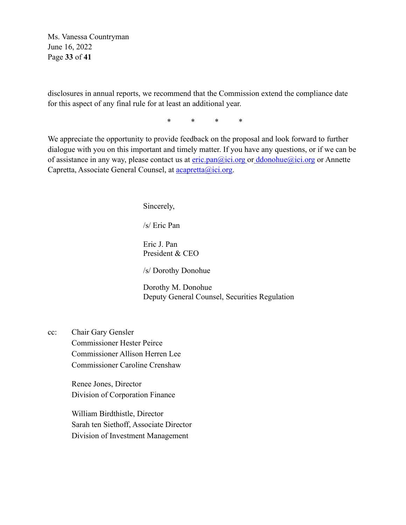Ms. Vanessa Countryman June 16, 2022 Page **33** of **41**

disclosures in annual reports, we recommend that the Commission extend the compliance date for this aspect of any final rule for at least an additional year.

\* \* \* \*

We appreciate the opportunity to provide feedback on the proposal and look forward to further dialogue with you on this important and timely matter. If you have any questions, or if we can be of assistance in any way, please contact us at  $eric.pan@ici.org$  or  $ddonohue@ici.org$  or Annette Capretta, Associate General Counsel, at [acapretta@ici.org.](mailto:acapretta@ici.org)

Sincerely,

/s/ Eric Pan

Eric J. Pan President & CEO

/s/ Dorothy Donohue

Dorothy M. Donohue Deputy General Counsel, Securities Regulation

cc: Chair Gary Gensler Commissioner Hester Peirce Commissioner Allison Herren Lee Commissioner Caroline Crenshaw

> Renee Jones, Director Division of Corporation Finance

William Birdthistle, Director Sarah ten Siethoff, Associate Director Division of Investment Management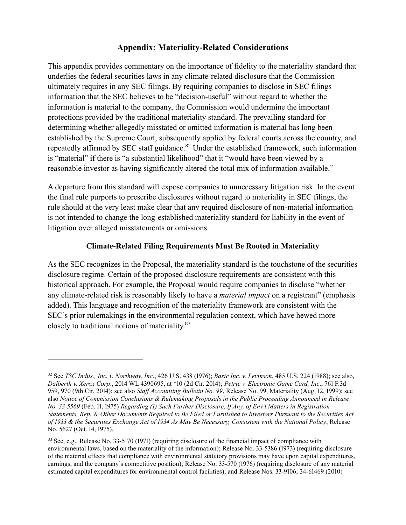# **Appendix: Materiality-Related Considerations**

This appendix provides commentary on the importance of fidelity to the materiality standard that underlies the federal securities laws in any climate-related disclosure that the Commission ultimately requires in any SEC filings. By requiring companies to disclose in SEC filings information that the SEC believes to be "decision-useful" without regard to whether the information is material to the company, the Commission would undermine the important protections provided by the traditional materiality standard. The prevailing standard for determining whether allegedly misstated or omitted information is material has long been established by the Supreme Court, subsequently applied by federal courts across the country, and repeatedly affirmed by SEC staff guidance.<sup>82</sup> Under the established framework, such information is "material" if there is "a substantial likelihood" that it "would have been viewed by a reasonable investor as having significantly altered the total mix of information available."

A departure from this standard will expose companies to unnecessary litigation risk. In the event the final rule purports to prescribe disclosures without regard to materiality in SEC filings, the rule should at the very least make clear that any required disclosure of non-material information is not intended to change the long-established materiality standard for liability in the event of litigation over alleged misstatements or omissions.

#### **Climate-Related Filing Requirements Must Be Rooted in Materiality**

As the SEC recognizes in the Proposal, the materiality standard is the touchstone of the securities disclosure regime. Certain of the proposed disclosure requirements are consistent with this historical approach. For example, the Proposal would require companies to disclose "whether any climate-related risk is reasonably likely to have a *material impact* on a registrant" (emphasis added). This language and recognition of the materiality framework are consistent with the SEC's prior rulemakings in the environmental regulation context, which have hewed more closely to traditional notions of materiality.<sup>83</sup>

<sup>82</sup> See *TSC Indus., Inc. v. Northway, Inc*., 426 U.S. 438 (1976); *Basic Inc. v. Levinson*, 485 U.S. 224 (1988); see also, *Dalberth v. Xerox Corp*., 2014 WL 4390695, at \*10 (2d Cir. 2014); *Petrie v. Electronic Game Card, Inc*., 761 F.3d 959, 970 (9th Cir. 2014); see also *Staff Accounting Bulletin No. 99*, Release No. 99, Materiality (Aug. 12, 1999); see also *Notice of Commission Conclusions & Rulemaking Proposals in the Public Proceeding Announced in Release No. 33-5569* (Feb. 11, 1975) *Regarding (1) Such Further Disclosure, If Any, of Env't Matters in Registration Statements, Rep. & Other Documents Required to Be Filed or Furnished to Investors Pursuant to the Securities Act of 1933 & the Securities Exchange Act of 1934 As May Be Necessary, Consistent with the National Policy*, Release No. 5627 (Oct. 14, 1975).

<sup>83</sup> See, e.g., Release No. 33-5170 (1971) (requiring disclosure of the financial impact of compliance with environmental laws, based on the materiality of the information); Release No. 33-5386 (1973) (requiring disclosure of the material effects that compliance with environmental statutory provisions may have upon capital expenditures, earnings, and the company's competitive position); Release No. 33-570 (1976) (requiring disclosure of any material estimated capital expenditures for environmental control facilities); and Release Nos. 33-9106; 34-61469 (2010)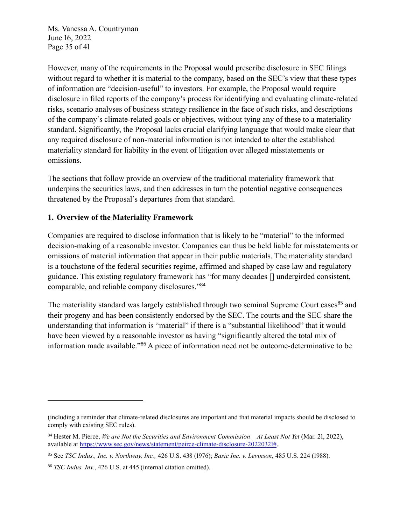Ms. Vanessa A. Countryman June 16, 2022 Page 35 of 41

However, many of the requirements in the Proposal would prescribe disclosure in SEC filings without regard to whether it is material to the company, based on the SEC's view that these types of information are "decision-useful" to investors. For example, the Proposal would require disclosure in filed reports of the company's process for identifying and evaluating climate-related risks, scenario analyses of business strategy resilience in the face of such risks, and descriptions of the company's climate-related goals or objectives, without tying any of these to a materiality standard. Significantly, the Proposal lacks crucial clarifying language that would make clear that any required disclosure of non-material information is not intended to alter the established materiality standard for liability in the event of litigation over alleged misstatements or omissions.

The sections that follow provide an overview of the traditional materiality framework that underpins the securities laws, and then addresses in turn the potential negative consequences threatened by the Proposal's departures from that standard.

#### **1. Overview of the Materiality Framework**

Companies are required to disclose information that is likely to be "material" to the informed decision-making of a reasonable investor. Companies can thus be held liable for misstatements or omissions of material information that appear in their public materials. The materiality standard is a touchstone of the federal securities regime, affirmed and shaped by case law and regulatory guidance. This existing regulatory framework has "for many decades [] undergirded consistent, comparable, and reliable company disclosures."<sup>84</sup>

The materiality standard was largely established through two seminal Supreme Court cases<sup>85</sup> and their progeny and has been consistently endorsed by the SEC. The courts and the SEC share the understanding that information is "material" if there is a "substantial likelihood" that it would have been viewed by a reasonable investor as having "significantly altered the total mix of information made available."<sup>86</sup> A piece of information need not be outcome-determinative to be

<sup>(</sup>including a reminder that climate-related disclosures are important and that material impacts should be disclosed to comply with existing SEC rules).

<sup>84</sup> Hester M. Pierce, *We are Not the Securities and Environment Commission – At Least Not Yet* (Mar. 21, 2022), available at [https://www.sec.gov/news/statement/peirce-climate-disclosure-20220321#.](https://www.sec.gov/news/statement/peirce-climate-disclosure-20220321)*.*

<sup>85</sup> See *TSC Indus., Inc. v. Northway, Inc.,* 426 U.S. 438 (1976); *Basic Inc. v. Levinson*, 485 U.S. 224 (1988).

<sup>86</sup> *TSC Indus. Inv.*, 426 U.S. at 445 (internal citation omitted).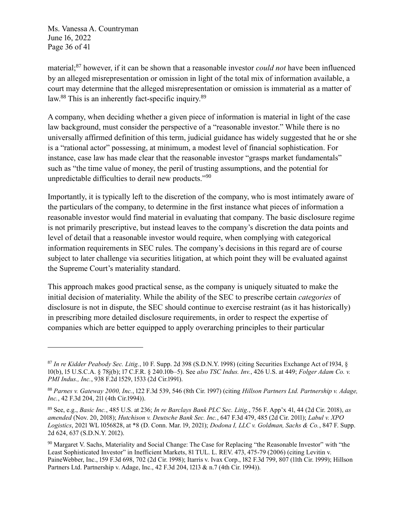Ms. Vanessa A. Countryman June 16, 2022 Page 36 of 41

material; <sup>87</sup> however, if it can be shown that a reasonable investor *could not* have been influenced by an alleged misrepresentation or omission in light of the total mix of information available, a court may determine that the alleged misrepresentation or omission is immaterial as a matter of law.<sup>88</sup> This is an inherently fact-specific inquiry.<sup>89</sup>

A company, when deciding whether a given piece of information is material in light of the case law background, must consider the perspective of a "reasonable investor." While there is no universally affirmed definition of this term, judicial guidance has widely suggested that he or she is a "rational actor" possessing, at minimum, a modest level of financial sophistication. For instance, case law has made clear that the reasonable investor "grasps market fundamentals" such as "the time value of money, the peril of trusting assumptions, and the potential for unpredictable difficulties to derail new products."<sup>90</sup>

Importantly, it is typically left to the discretion of the company, who is most intimately aware of the particulars of the company, to determine in the first instance what pieces of information a reasonable investor would find material in evaluating that company. The basic disclosure regime is not primarily prescriptive, but instead leaves to the company's discretion the data points and level of detail that a reasonable investor would require, when complying with categorical information requirements in SEC rules. The company's decisions in this regard are of course subject to later challenge via securities litigation, at which point they will be evaluated against the Supreme Court's materiality standard.

This approach makes good practical sense, as the company is uniquely situated to make the initial decision of materiality. While the ability of the SEC to prescribe certain *categories* of disclosure is not in dispute, the SEC should continue to exercise restraint (as it has historically) in prescribing more detailed disclosure requirements, in order to respect the expertise of companies which are better equipped to apply overarching principles to their particular

<sup>87</sup> *In re Kidder Peabody Sec. Litig.*, 10 F. Supp. 2d 398 (S.D.N.Y. 1998) (citing Securities Exchange Act of 1934, § 10(b), 15 U.S.C.A. § 78j(b); 17 C.F.R. § 240.10b–5). See *also TSC Indus. Inv.*, 426 U.S. at 449; *Folger Adam Co. v. PMI Indus., Inc.*, 938 F.2d 1529, 1533 (2d Cir.1991).

<sup>88</sup> *Parnes v. Gateway 2000, Inc.*, 122 F.3d 539, 546 (8th Cir. 1997) (citing *Hillson Partners Ltd. Partnership v. Adage, Inc.*, 42 F.3d 204, 211 (4th Cir.1994)).

<sup>89</sup> See, e.g., *Basic Inc.*, 485 U.S. at 236; *In re Barclays Bank PLC Sec. Litig.*, 756 F. App'x 41, 44 (2d Cir. 2018), *as amended* (Nov. 20, 2018); *Hutchison v. Deutsche Bank Sec. Inc.*, 647 F.3d 479, 485 (2d Cir. 2011); *Labul v. XPO Logistics*, 2021 WL 1056828, at \*8 (D. Conn. Mar. 19, 2021); *Dodona I, LLC v. Goldman, Sachs & Co.*, 847 F. Supp. 2d 624, 637 (S.D.N.Y. 2012).

<sup>90</sup> Margaret V. Sachs, Materiality and Social Change: The Case for Replacing "the Reasonable Investor" with "the Least Sophisticated Investor" in Inefficient Markets, 81 TUL. L. REV. 473, 475-79 (2006) (citing Levitin v. PaineWebber, Inc., 159 F.3d 698, 702 (2d Cir. 1998); Itarris v. Ivax Corp., 182 F.3d 799, 807 (11th Cir. 1999); Hillson Partners Ltd. Partnership v. Adage, Inc., 42 F.3d 204, 1213 & n.7 (4th Cir. 1994)).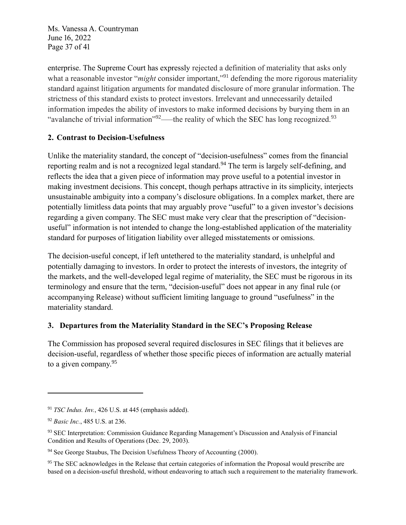Ms. Vanessa A. Countryman June 16, 2022 Page 37 of 41

enterprise. The Supreme Court has expressly rejected a definition of materiality that asks only what a reasonable investor "*might* consider important,"<sup>91</sup> defending the more rigorous materiality standard against litigation arguments for mandated disclosure of more granular information. The strictness of this standard exists to protect investors. Irrelevant and unnecessarily detailed information impedes the ability of investors to make informed decisions by burying them in an "avalanche of trivial information"  $^{92}$ —the reality of which the SEC has long recognized.<sup>93</sup>

## **2. Contrast to Decision-Usefulness**

Unlike the materiality standard, the concept of "decision-usefulness" comes from the financial reporting realm and is not a recognized legal standard.<sup>94</sup> The term is largely self-defining, and reflects the idea that a given piece of information may prove useful to a potential investor in making investment decisions. This concept, though perhaps attractive in its simplicity, interjects unsustainable ambiguity into a company's disclosure obligations. In a complex market, there are potentially limitless data points that may arguably prove "useful" to a given investor's decisions regarding a given company. The SEC must make very clear that the prescription of "decisionuseful" information is not intended to change the long-established application of the materiality standard for purposes of litigation liability over alleged misstatements or omissions.

The decision-useful concept, if left untethered to the materiality standard, is unhelpful and potentially damaging to investors. In order to protect the interests of investors, the integrity of the markets, and the well-developed legal regime of materiality, the SEC must be rigorous in its terminology and ensure that the term, "decision-useful" does not appear in any final rule (or accompanying Release) without sufficient limiting language to ground "usefulness" in the materiality standard.

#### **3. Departures from the Materiality Standard in the SEC's Proposing Release**

The Commission has proposed several required disclosures in SEC filings that it believes are decision-useful, regardless of whether those specific pieces of information are actually material to a given company.<sup>95</sup>

<sup>91</sup> *TSC Indus. Inv.*, 426 U.S. at 445 (emphasis added).

<sup>92</sup> *Basic Inc.*, 485 U.S. at 236.

<sup>93</sup> SEC Interpretation: Commission Guidance Regarding Management's Discussion and Analysis of Financial Condition and Results of Operations (Dec. 29, 2003).

<sup>&</sup>lt;sup>94</sup> See George Staubus, The Decision Usefulness Theory of Accounting (2000).

<sup>&</sup>lt;sup>95</sup> The SEC acknowledges in the Release that certain categories of information the Proposal would prescribe are based on a decision-useful threshold, without endeavoring to attach such a requirement to the materiality framework.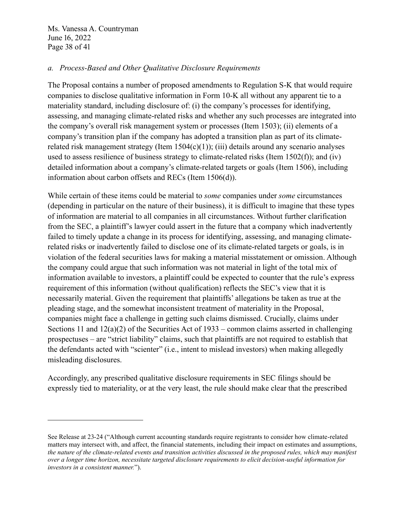Ms. Vanessa A. Countryman June 16, 2022 Page 38 of 41

#### *a. Process-Based and Other Qualitative Disclosure Requirements*

The Proposal contains a number of proposed amendments to Regulation S-K that would require companies to disclose qualitative information in Form 10-K all without any apparent tie to a materiality standard, including disclosure of: (i) the company's processes for identifying, assessing, and managing climate-related risks and whether any such processes are integrated into the company's overall risk management system or processes (Item 1503); (ii) elements of a company's transition plan if the company has adopted a transition plan as part of its climaterelated risk management strategy (Item  $1504(c)(1)$ ); (iii) details around any scenario analyses used to assess resilience of business strategy to climate-related risks (Item 1502(f)); and (iv) detailed information about a company's climate-related targets or goals (Item 1506), including information about carbon offsets and RECs (Item 1506(d)).

While certain of these items could be material to *some* companies under *some* circumstances (depending in particular on the nature of their business), it is difficult to imagine that these types of information are material to all companies in all circumstances. Without further clarification from the SEC, a plaintiff's lawyer could assert in the future that a company which inadvertently failed to timely update a change in its process for identifying, assessing, and managing climaterelated risks or inadvertently failed to disclose one of its climate-related targets or goals, is in violation of the federal securities laws for making a material misstatement or omission. Although the company could argue that such information was not material in light of the total mix of information available to investors, a plaintiff could be expected to counter that the rule's express requirement of this information (without qualification) reflects the SEC's view that it is necessarily material. Given the requirement that plaintiffs' allegations be taken as true at the pleading stage, and the somewhat inconsistent treatment of materiality in the Proposal, companies might face a challenge in getting such claims dismissed. Crucially, claims under Sections 11 and 12(a)(2) of the Securities Act of 1933 – common claims asserted in challenging prospectuses – are "strict liability" claims, such that plaintiffs are not required to establish that the defendants acted with "scienter" (i.e., intent to mislead investors) when making allegedly misleading disclosures.

Accordingly, any prescribed qualitative disclosure requirements in SEC filings should be expressly tied to materiality, or at the very least, the rule should make clear that the prescribed

See Release at 23-24 ("Although current accounting standards require registrants to consider how climate-related matters may intersect with, and affect, the financial statements, including their impact on estimates and assumptions, *the nature of the climate-related events and transition activities discussed in the proposed rules, which may manifest over a longer time horizon, necessitate targeted disclosure requirements to elicit decision-useful information for investors in a consistent manner.*").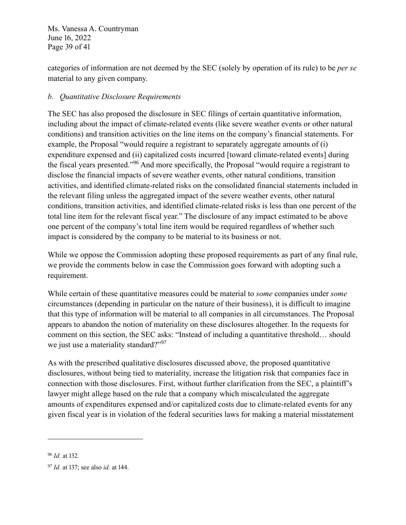Ms. Vanessa A. Countryman June 16, 2022 Page 39 of 41

categories of information are not deemed by the SEC (solely by operation of its rule) to be *per se* material to any given company.

# *b. Quantitative Disclosure Requirements*

The SEC has also proposed the disclosure in SEC filings of certain quantitative information, including about the impact of climate-related events (like severe weather events or other natural conditions) and transition activities on the line items on the company's financial statements. For example, the Proposal "would require a registrant to separately aggregate amounts of (i) expenditure expensed and (ii) capitalized costs incurred [toward climate-related events] during the fiscal years presented."<sup>96</sup> And more specifically, the Proposal "would require a registrant to disclose the financial impacts of severe weather events, other natural conditions, transition activities, and identified climate-related risks on the consolidated financial statements included in the relevant filing unless the aggregated impact of the severe weather events, other natural conditions, transition activities, and identified climate-related risks is less than one percent of the total line item for the relevant fiscal year." The disclosure of any impact estimated to be above one percent of the company's total line item would be required regardless of whether such impact is considered by the company to be material to its business or not.

While we oppose the Commission adopting these proposed requirements as part of any final rule, we provide the comments below in case the Commission goes forward with adopting such a requirement.

While certain of these quantitative measures could be material to *some* companies under *some*  circumstances (depending in particular on the nature of their business), it is difficult to imagine that this type of information will be material to all companies in all circumstances. The Proposal appears to abandon the notion of materiality on these disclosures altogether. In the requests for comment on this section, the SEC asks: "Instead of including a quantitative threshold… should we just use a materiality standard?"<sup>97</sup>

As with the prescribed qualitative disclosures discussed above, the proposed quantitative disclosures, without being tied to materiality, increase the litigation risk that companies face in connection with those disclosures. First, without further clarification from the SEC, a plaintiff's lawyer might allege based on the rule that a company which miscalculated the aggregate amounts of expenditures expensed and/or capitalized costs due to climate-related events for any given fiscal year is in violation of the federal securities laws for making a material misstatement

<sup>96</sup> *Id.* at 132.

<sup>97</sup> *Id.* at 137; see also *id.* at 144.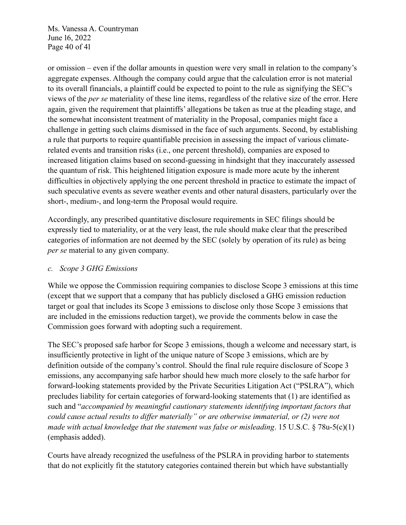Ms. Vanessa A. Countryman June 16, 2022 Page 40 of 41

or omission – even if the dollar amounts in question were very small in relation to the company's aggregate expenses. Although the company could argue that the calculation error is not material to its overall financials, a plaintiff could be expected to point to the rule as signifying the SEC's views of the *per se* materiality of these line items, regardless of the relative size of the error. Here again, given the requirement that plaintiffs' allegations be taken as true at the pleading stage, and the somewhat inconsistent treatment of materiality in the Proposal, companies might face a challenge in getting such claims dismissed in the face of such arguments. Second, by establishing a rule that purports to require quantifiable precision in assessing the impact of various climaterelated events and transition risks (i.e., one percent threshold), companies are exposed to increased litigation claims based on second-guessing in hindsight that they inaccurately assessed the quantum of risk. This heightened litigation exposure is made more acute by the inherent difficulties in objectively applying the one percent threshold in practice to estimate the impact of such speculative events as severe weather events and other natural disasters, particularly over the short-, medium-, and long-term the Proposal would require.

Accordingly, any prescribed quantitative disclosure requirements in SEC filings should be expressly tied to materiality, or at the very least, the rule should make clear that the prescribed categories of information are not deemed by the SEC (solely by operation of its rule) as being *per se* material to any given company.

#### *c. Scope 3 GHG Emissions*

While we oppose the Commission requiring companies to disclose Scope 3 emissions at this time (except that we support that a company that has publicly disclosed a GHG emission reduction target or goal that includes its Scope 3 emissions to disclose only those Scope 3 emissions that are included in the emissions reduction target), we provide the comments below in case the Commission goes forward with adopting such a requirement.

The SEC's proposed safe harbor for Scope 3 emissions, though a welcome and necessary start, is insufficiently protective in light of the unique nature of Scope 3 emissions, which are by definition outside of the company's control. Should the final rule require disclosure of Scope 3 emissions, any accompanying safe harbor should hew much more closely to the safe harbor for forward-looking statements provided by the Private Securities Litigation Act ("PSLRA"), which precludes liability for certain categories of forward-looking statements that (1) are identified as such and "*accompanied by meaningful cautionary statements identifying important factors that could cause actual results to differ materially" or are otherwise immaterial, or (2) were not made with actual knowledge that the statement was false or misleading*. 15 U.S.C. § 78u-5(c)(1) (emphasis added).

Courts have already recognized the usefulness of the PSLRA in providing harbor to statements that do not explicitly fit the statutory categories contained therein but which have substantially